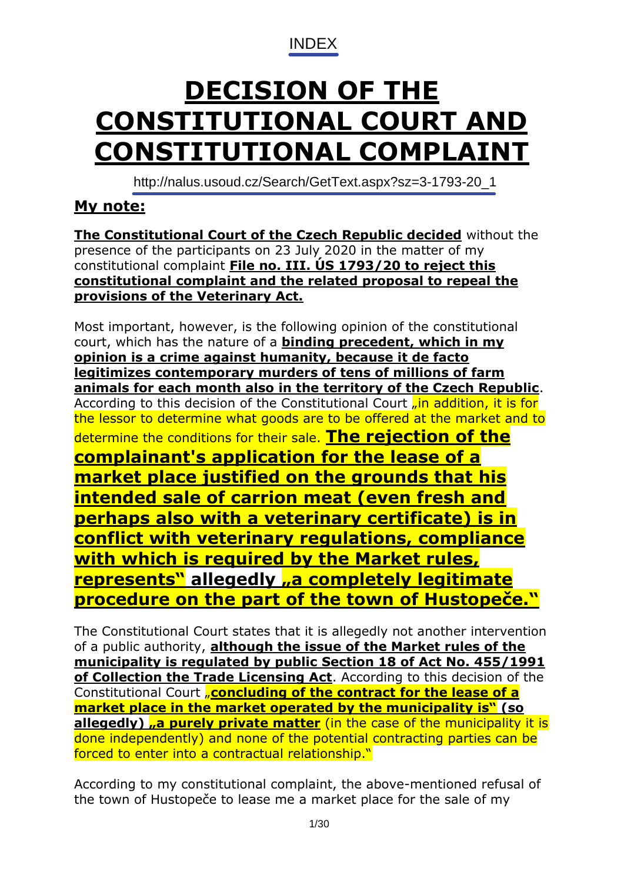[INDEX](http://www.spvzt.cz/)

# <span id="page-0-0"></span>**DECISION OF THE CONSTITUTIONAL COURT AND CONSTITUTIONAL COMPLAINT**

http://nalus.usoud.cz/Search/GetText.aspx?sz=3-1793-20\_1

# **My note:**

**The Constitutional Court of the Czech Republic decided** without the presence of the participants on 23 July 2020 in the matter of my constitutional complaint **File no. III. ÚS 1793/20 to reject this constitutional complaint and the related proposal to repeal the provisions of the Veterinary Act.**

Most important, however, is the following opinion of the constitutional court, which has the nature of a **binding precedent, which in my opinion is a crime against humanity, because it de facto legitimizes contemporary murders of tens of millions of farm animals for each month also in the territory of the Czech Republic**. According to this decision of the Constitutional Court <sub>n</sub>in addition, it is for the lessor to determine what goods are to be offered at the market and to determine the conditions for their sale. **The rejection of the complainant's application for the lease of a market place justified on the grounds that his intended sale of carrion meat (even fresh and perhaps also with a veterinary certificate) is in conflict with veterinary regulations, compliance with which is required by the Market rules, represents" allegedly "a completely legitimate procedure on the part of the town of Hustopeče."**

The Constitutional Court states that it is allegedly not another intervention of a public authority, **although the issue of the Market rules of the municipality is regulated by public Section 18 of Act No. 455/1991 of Collection the Trade Licensing Act**. According to this decision of the Constitutional Court "**concluding of the contract for the lease of a market place in the market operated by the municipality is" (so**  allegedly) **"a purely private matter** (in the case of the municipality it is done independently) and none of the potential contracting parties can be forced to enter into a contractual relationship."

According to my constitutional complaint, the above-mentioned refusal of the town of Hustopeče to lease me a market place for the sale of my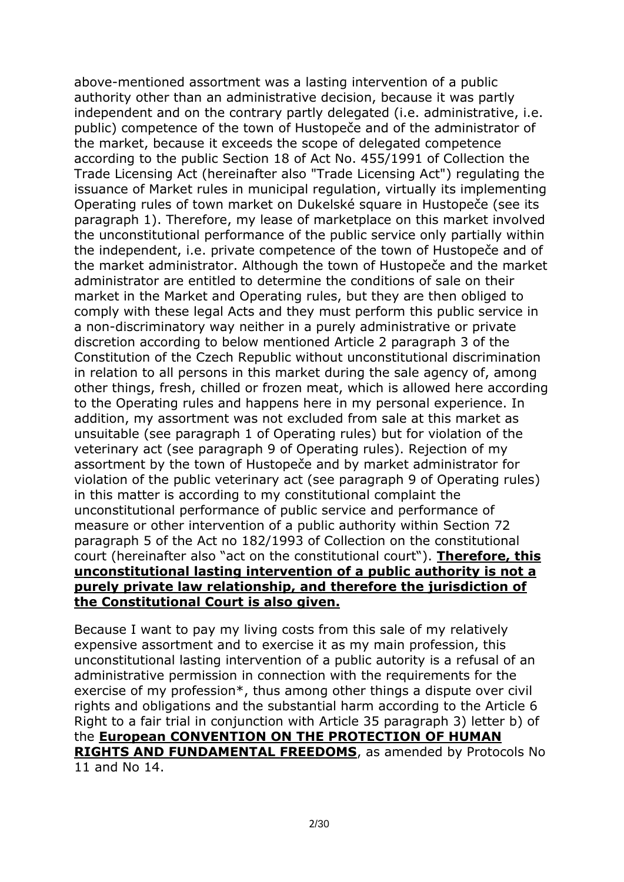above-mentioned assortment was a lasting intervention of a public authority other than an administrative decision, because it was partly independent and on the contrary partly delegated (i.e. administrative, i.e. public) competence of the town of Hustopeče and of the administrator of the market, because it exceeds the scope of delegated competence according to the public Section 18 of Act No. 455/1991 of Collection the Trade Licensing Act (hereinafter also "Trade Licensing Act") regulating the issuance of Market rules in municipal regulation, virtually its implementing Operating rules of town market on Dukelské square in Hustopeče (see its paragraph 1). Therefore, my lease of marketplace on this market involved the unconstitutional performance of the public service only partially within the independent, i.e. private competence of the town of Hustopeče and of the market administrator. Although the town of Hustopeče and the market administrator are entitled to determine the conditions of sale on their market in the Market and Operating rules, but they are then obliged to comply with these legal Acts and they must perform this public service in a non-discriminatory way neither in a purely administrative or private discretion according to below mentioned Article 2 paragraph 3 of the Constitution of the Czech Republic without unconstitutional discrimination in relation to all persons in this market during the sale agency of, among other things, fresh, chilled or frozen meat, which is allowed here according to the Operating rules and happens here in my personal experience. In addition, my assortment was not excluded from sale at this market as unsuitable (see paragraph 1 of Operating rules) but for violation of the veterinary act (see paragraph 9 of Operating rules). Rejection of my assortment by the town of Hustopeče and by market administrator for violation of the public veterinary act (see paragraph 9 of Operating rules) in this matter is according to my constitutional complaint the unconstitutional performance of public service and performance of measure or other intervention of a public authority within Section 72 paragraph 5 of the Act no 182/1993 of Collection on the constitutional court (hereinafter also "act on the constitutional court"). **Therefore, this unconstitutional lasting intervention of a public authority is not a purely private law relationship, and therefore the jurisdiction of the Constitutional Court is also given.**

Because I want to pay my living costs from this sale of my relatively expensive assortment and to exercise it as my main profession, this unconstitutional lasting intervention of a public autority is a refusal of an administrative permission in connection with the requirements for the exercise of my profession\*, thus among other things a dispute over civil rights and obligations and the substantial harm according to the Article 6 Right to a fair trial in conjunction with Article 35 paragraph 3) letter b) of the **European CONVENTION ON THE PROTECTION OF HUMAN RIGHTS AND FUNDAMENTAL FREEDOMS**, as amended by Protocols No 11 and No 14.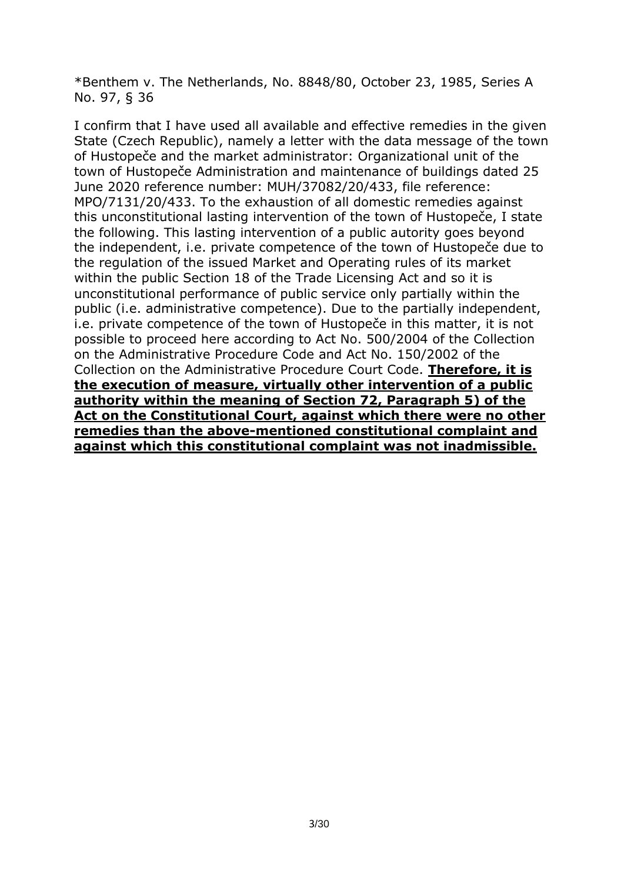\*Benthem v. The Netherlands, No. 8848/80, October 23, 1985, Series A No. 97, § 36

I confirm that I have used all available and effective remedies in the given State (Czech Republic), namely a letter with the data message of the town of Hustopeče and the market administrator: Organizational unit of the town of Hustopeče Administration and maintenance of buildings dated 25 June 2020 reference number: MUH/37082/20/433, file reference: MPO/7131/20/433. To the exhaustion of all domestic remedies against this unconstitutional lasting intervention of the town of Hustopeče, I state the following. This lasting intervention of a public autority goes beyond the independent, i.e. private competence of the town of Hustopeče due to the regulation of the issued Market and Operating rules of its market within the public Section 18 of the Trade Licensing Act and so it is unconstitutional performance of public service only partially within the public (i.e. administrative competence). Due to the partially independent, i.e. private competence of the town of Hustopeče in this matter, it is not possible to proceed here according to Act No. 500/2004 of the Collection on the Administrative Procedure Code and Act No. 150/2002 of the Collection on the Administrative Procedure Court Code. **Therefore, it is the execution of measure, virtually other intervention of a public authority within the meaning of Section 72, Paragraph 5) of the Act on the Constitutional Court, against which there were no other remedies than the above-mentioned constitutional complaint and against which this constitutional complaint was not inadmissible.**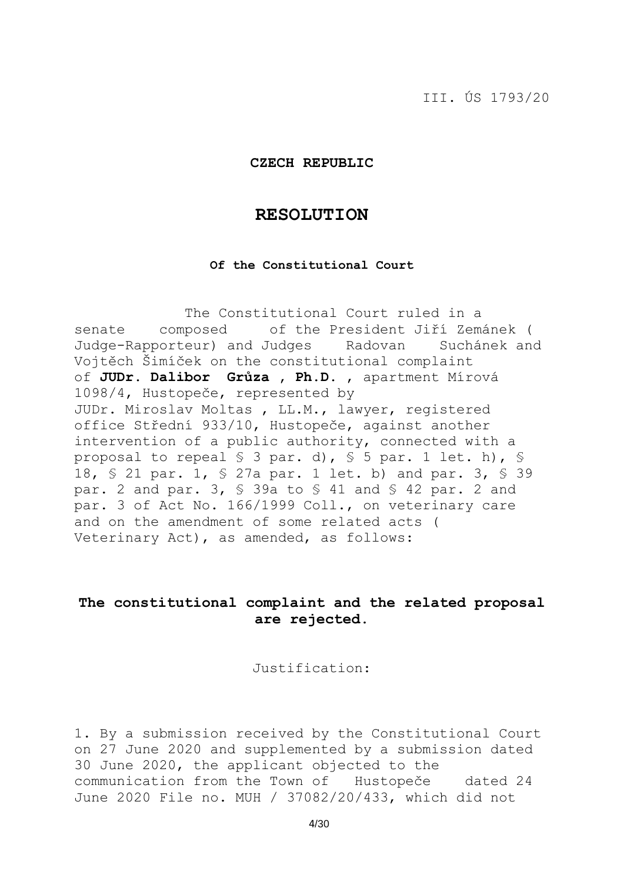III. ÚS 1793/20

#### **CZECH REPUBLIC**

## **RESOLUTION**

#### **Of the Constitutional Court**

 The Constitutional Court ruled in a senate composed of the President Jiří Zemánek ( Judge-Rapporteur) and Judges Radovan Suchánek and Vojtěch Šimíček on the constitutional complaint of **JUDr. Dalibor Grůza , Ph.D.** , apartment Mírová 1098/4, Hustopeče, represented by JUDr. Miroslav Moltas , LL.M., lawyer, registered office Střední 933/10, Hustopeče, against another intervention of a public authority, connected with a proposal to repeal § 3 par. d), § 5 par. 1 let. h), § 18, § 21 par. 1, § 27a par. 1 let. b) and par. 3, § 39 par. 2 and par. 3, § 39a to § 41 and § 42 par. 2 and par. 3 of Act No. 166/1999 Coll., on veterinary care and on the amendment of some related acts ( Veterinary Act), as amended, as follows:

# **The constitutional complaint and the related proposal are rejected.**

#### Justification:

1. By a submission received by the Constitutional Court on 27 June 2020 and supplemented by a submission dated 30 June 2020, the applicant objected to the communication from the Town of Hustopeče dated 24 June 2020 File no. MUH / 37082/20/433, which did not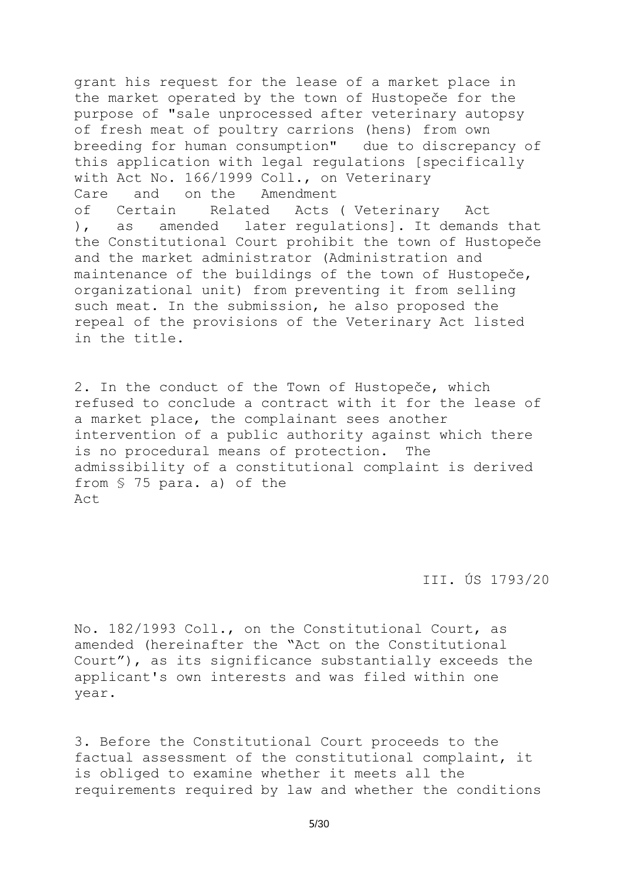grant his request for the lease of a market place in the market operated by the town of Hustopeče for the purpose of "sale unprocessed after veterinary autopsy of fresh meat of poultry carrions (hens) from own breeding for human consumption" due to discrepancy of this application with legal regulations [specifically with Act No. 166/1999 Coll., on Veterinary Care and on the Amendment of Certain Related Acts ( Veterinary Act ), as amended later regulations]. It demands that the Constitutional Court prohibit the town of Hustopeče and the market administrator (Administration and maintenance of the buildings of the town of Hustopeče, organizational unit) from preventing it from selling such meat. In the submission, he also proposed the repeal of the provisions of the Veterinary Act listed in the title.

2. In the conduct of the Town of Hustopeče, which refused to conclude a contract with it for the lease of a market place, the complainant sees another intervention of a public authority against which there is no procedural means of protection. The admissibility of a constitutional complaint is derived from § 75 para. a) of the Act

III. ÚS 1793/20

No. 182/1993 Coll., on the Constitutional Court, as amended (hereinafter the "Act on the Constitutional Court"), as its significance substantially exceeds the applicant's own interests and was filed within one year.

3. Before the Constitutional Court proceeds to the factual assessment of the constitutional complaint, it is obliged to examine whether it meets all the requirements required by law and whether the conditions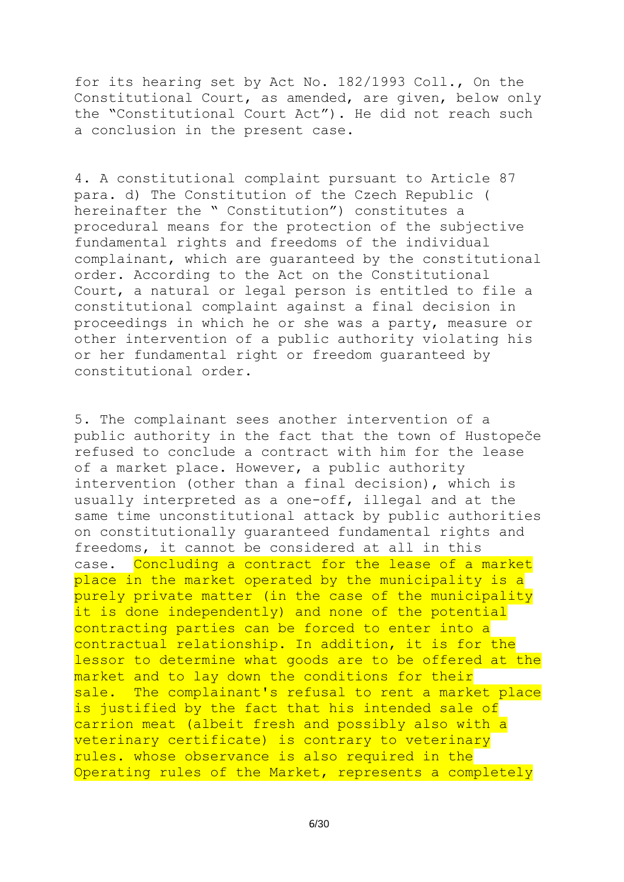for its hearing set by Act No. 182/1993 Coll., On the Constitutional Court, as amended, are given, below only the "Constitutional Court Act"). He did not reach such a conclusion in the present case.

4. A constitutional complaint pursuant to Article 87 para. d) The Constitution of the Czech Republic ( hereinafter the " Constitution") constitutes a procedural means for the protection of the subjective fundamental rights and freedoms of the individual complainant, which are guaranteed by the constitutional order. According to the Act on the Constitutional Court, a natural or legal person is entitled to file a constitutional complaint against a final decision in proceedings in which he or she was a party, measure or other intervention of a public authority violating his or her fundamental right or freedom guaranteed by constitutional order.

5. The complainant sees another intervention of a public authority in the fact that the town of Hustopeče refused to conclude a contract with him for the lease of a market place. However, a public authority intervention (other than a final decision), which is usually interpreted as a one-off, illegal and at the same time unconstitutional attack by public authorities on constitutionally guaranteed fundamental rights and freedoms, it cannot be considered at all in this case. Concluding a contract for the lease of a market place in the market operated by the municipality is a purely private matter (in the case of the municipality it is done independently) and none of the potential contracting parties can be forced to enter into a contractual relationship. In addition, it is for the lessor to determine what goods are to be offered at the market and to lay down the conditions for their sale. The complainant's refusal to rent a market place is justified by the fact that his intended sale of carrion meat (albeit fresh and possibly also with a veterinary certificate) is contrary to veterinary rules. whose observance is also required in the Operating rules of the Market, represents a completely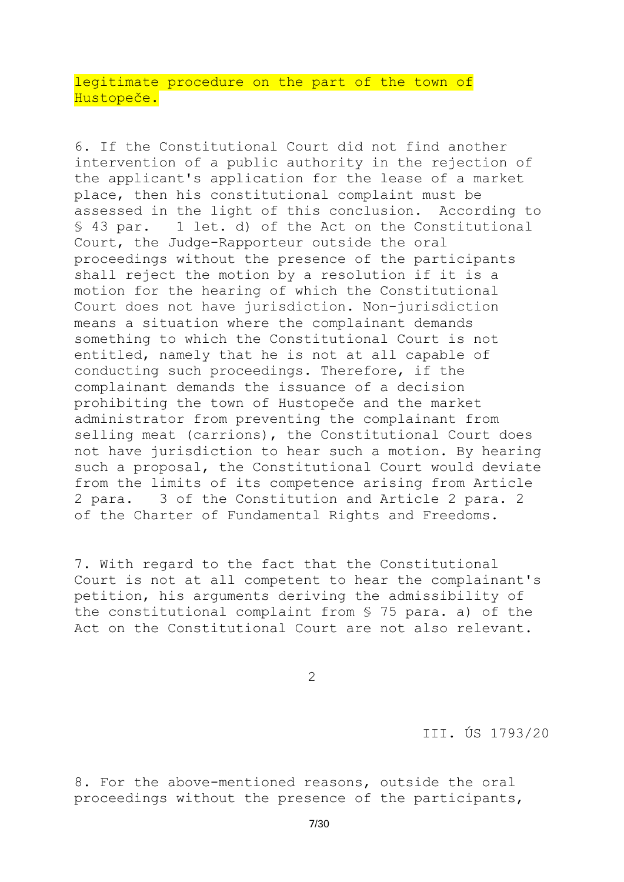legitimate procedure on the part of the town of Hustopeče.

6. If the Constitutional Court did not find another intervention of a public authority in the rejection of the applicant's application for the lease of a market place, then his constitutional complaint must be assessed in the light of this conclusion. According to § 43 par. 1 let. d) of the Act on the Constitutional Court, the Judge-Rapporteur outside the oral proceedings without the presence of the participants shall reject the motion by a resolution if it is a motion for the hearing of which the Constitutional Court does not have jurisdiction. Non-jurisdiction means a situation where the complainant demands something to which the Constitutional Court is not entitled, namely that he is not at all capable of conducting such proceedings. Therefore, if the complainant demands the issuance of a decision prohibiting the town of Hustopeče and the market administrator from preventing the complainant from selling meat (carrions), the Constitutional Court does not have jurisdiction to hear such a motion. By hearing such a proposal, the Constitutional Court would deviate from the limits of its competence arising from Article 2 para. 3 of the Constitution and Article 2 para. 2 of the Charter of Fundamental Rights and Freedoms.

7. With regard to the fact that the Constitutional Court is not at all competent to hear the complainant's petition, his arguments deriving the admissibility of the constitutional complaint from § 75 para. a) of the Act on the Constitutional Court are not also relevant.

2

III. ÚS 1793/20

8. For the above-mentioned reasons, outside the oral proceedings without the presence of the participants,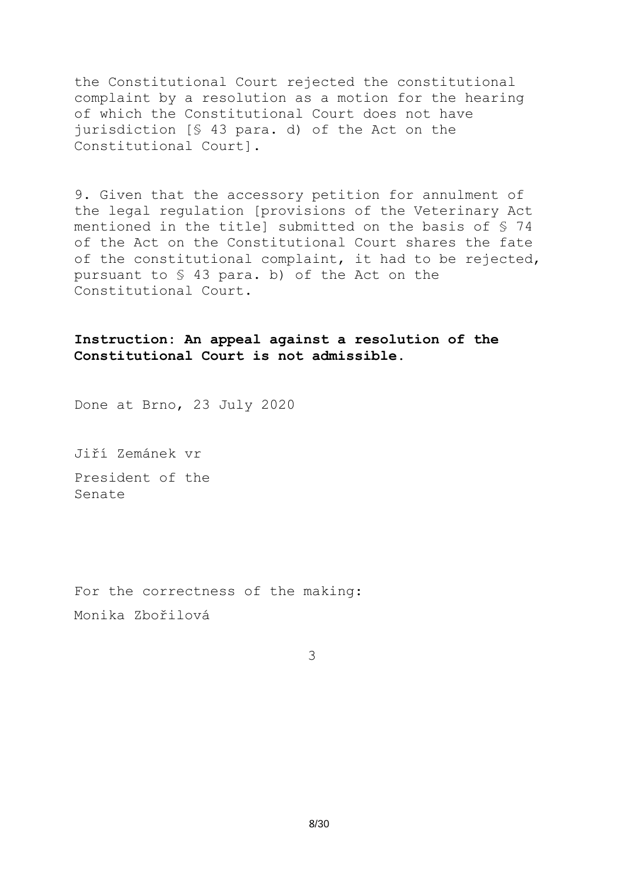the Constitutional Court rejected the constitutional complaint by a resolution as a motion for the hearing of which the Constitutional Court does not have jurisdiction [§ 43 para. d) of the Act on the Constitutional Court].

9. Given that the accessory petition for annulment of the legal regulation [provisions of the Veterinary Act mentioned in the title] submitted on the basis of § 74 of the Act on the Constitutional Court shares the fate of the constitutional complaint, it had to be rejected, pursuant to § 43 para. b) of the Act on the Constitutional Court.

# **Instruction: An appeal against a resolution of the Constitutional Court is not admissible.**

Done at Brno, 23 July 2020

Jiří Zemánek vr President of the Senate

For the correctness of the making: Monika Zbořilová

3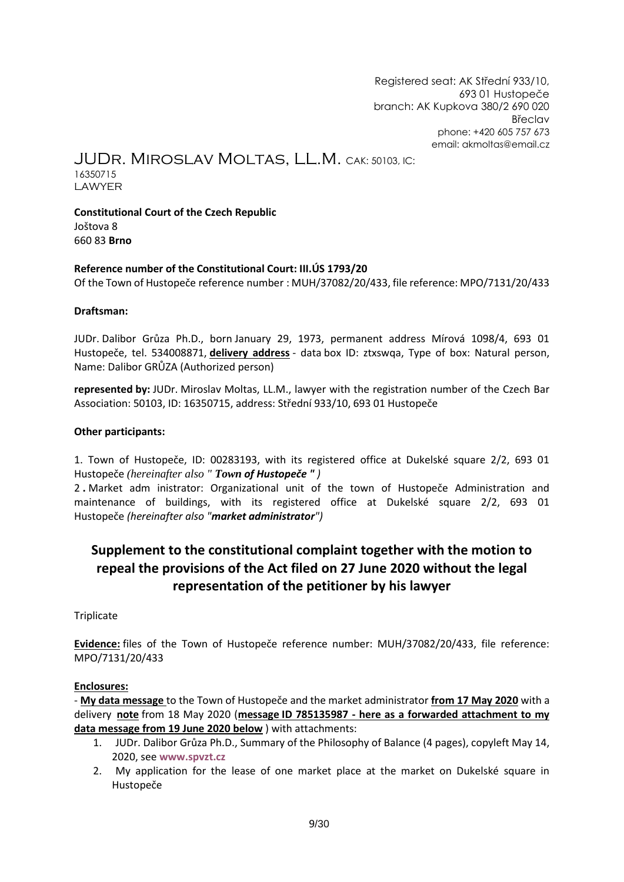Registered seat: AK Střední 933/10, 693 01 Hustopeče branch: AK Kupkova 380/2 690 020 Břeclav phone: +420 605 757 673 email: [akmoltas@email.cz](mailto:akmoltas@email.cz)

JUDr. Miroslav Moltas, LL.M. CAK: 50103, IC:

16350715 LAWYER

**Constitutional Court of the Czech Republic** Joštova 8 660 83 **Brno**

#### **Reference number of the Constitutional Court: III.ÚS 1793/20**

Of the Town of Hustopeče reference number : MUH/37082/20/433, file reference: MPO/7131/20/433

#### **Draftsman:**

JUDr. Dalibor Grůza Ph.D., born January 29, 1973, permanent address Mírová 1098/4, 693 01 Hustopeče, tel. 534008871, **delivery address** - data box ID: ztxswqa, Type of box: Natural person, Name: Dalibor GRŮZA (Authorized person)

**represented by:** JUDr. Miroslav Moltas, LL.M., lawyer with the registration number of the Czech Bar Association: 50103, ID: 16350715, address: Střední 933/10, 693 01 Hustopeče

#### **Other participants:**

1. Town of Hustopeče, ID: 00283193, with its registered office at Dukelské square 2/2, 693 01 Hustopeče *(hereinafter also " Town of Hustopeče " )*

2 **.** Market adm inistrator: Organizational unit of the town of Hustopeče Administration and maintenance of buildings, with its registered office at Dukelské square 2/2, 693 01 Hustopeče *(hereinafter also "market administrator")*

# **Supplement to the constitutional complaint together with the motion to repeal the provisions of the Act filed on 27 June 2020 without the legal representation of the petitioner by his lawyer**

#### **Triplicate**

**Evidence:** files of the Town of Hustopeče reference number: MUH/37082/20/433, file reference: MPO/7131/20/433

#### **Enclosures:**

- **My data message** to the Town of Hustopeče and the market administrator **from 17 May 2020** with a delivery **note** from 18 May 2020 (**message ID 785135987 - here as a forwarded attachment to my data message from 19 June 2020 below** ) with attachments:

- 1. JUDr. Dalibor Grůza Ph.D., Summary of the Philosophy of Balance (4 pages), copyleft May 14, 2020, see **[www.spvzt.cz](http://www.spvzt.cz/)**
- 2. My application for the lease of one market place at the market on Dukelské square in Hustopeče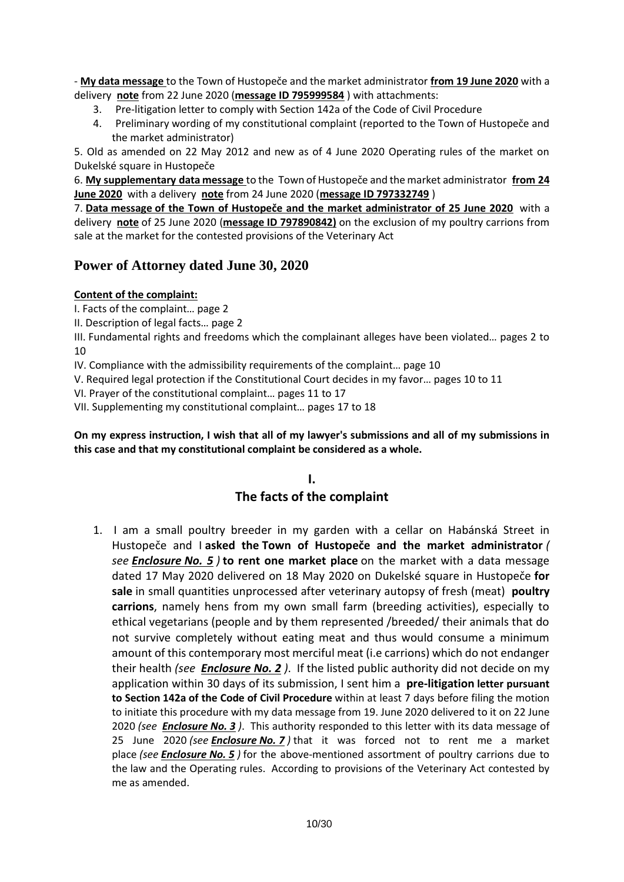- **My data message** to the Town of Hustopeče and the market administrator **from 19 June 2020** with a delivery **note** from 22 June 2020 (**message ID 795999584** ) with attachments:

- 3. Pre-litigation letter to comply with Section 142a of the Code of Civil Procedure
- 4. Preliminary wording of my constitutional complaint (reported to the Town of Hustopeče and the market administrator)

5. Old as amended on 22 May 2012 and new as of 4 June 2020 Operating rules of the market on Dukelské square in Hustopeče

6. **My supplementary data message** to the Town of Hustopeče and the market administrator **from 24 June 2020** with a delivery **note** from 24 June 2020 (**message ID 797332749** )

7. **Data message of the Town of Hustopeče and the market administrator of 25 June 2020** with a delivery **note** of 25 June 2020 (**message ID 797890842)** on the exclusion of my poultry carrions from sale at the market for the contested provisions of the Veterinary Act

# **Power of Attorney dated June 30, 2020**

#### **Content of the complaint:**

I. Facts of the complaint… page 2

II. Description of legal facts… page 2

III. Fundamental rights and freedoms which the complainant alleges have been violated… pages 2 to 10

IV. Compliance with the admissibility requirements of the complaint… page 10

V. Required legal protection if the Constitutional Court decides in my favor… pages 10 to 11

VI. Prayer of the constitutional complaint… pages 11 to 17

VII. Supplementing my constitutional complaint… pages 17 to 18

#### **On my express instruction, I wish that all of my lawyer's submissions and all of my submissions in this case and that my constitutional complaint be considered as a whole.**

# **I. The facts of the complaint**

1.I am a small poultry breeder in my garden with a cellar on Habánská Street in Hustopeče and I **asked the Town of Hustopeče and the market administrator** *( see Enclosure No. 5 )* **to rent one market place** on the market with a data message dated 17 May 2020 delivered on 18 May 2020 on Dukelské square in Hustopeče **for sale** in small quantities unprocessed after veterinary autopsy of fresh (meat) **poultry carrions**, namely hens from my own small farm (breeding activities), especially to ethical vegetarians (people and by them represented /breeded/ their animals that do not survive completely without eating meat and thus would consume a minimum amount of this contemporary most merciful meat (i.e carrions) which do not endanger their health *(see Enclosure No. 2 )*. If the listed public authority did not decide on my application within 30 days of its submission, I sent him a **pre-litigation letter pursuant to Section 142a of the Code of Civil Procedure** within at least 7 days before filing the motion to initiate this procedure with my data message from 19. June 2020 delivered to it on 22 June 2020 *(see Enclosure No. 3 )*. This authority responded to this letter with its data message of 25 June 2020 *(see Enclosure No. 7 )* that it was forced not to rent me a market place *(see Enclosure No. 5 )* for the above-mentioned assortment of poultry carrions due to the law and the Operating rules. According to provisions of the Veterinary Act contested by me as amended.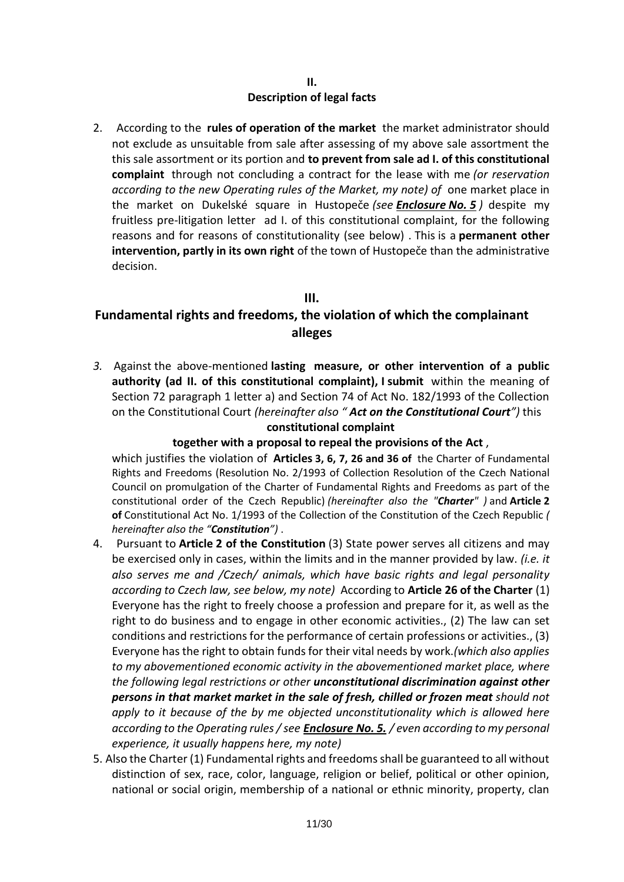#### **II. Description of legal facts**

2. According to the **rules of operation of the market** the market administrator should not exclude as unsuitable from sale after assessing of my above sale assortment the this sale assortment or its portion and **to prevent from sale ad I. of this constitutional complaint** through not concluding a contract for the lease with me *(or reservation according to the new Operating rules of the Market, my note) of* one market place in the market on Dukelské square in Hustopeče *(see Enclosure No. 5 )* despite my fruitless pre-litigation letter ad I. of this constitutional complaint, for the following reasons and for reasons of constitutionality (see below) . This is a **permanent other intervention, partly in its own right** of the town of Hustopeče than the administrative decision.

## **III.**

# **Fundamental rights and freedoms, the violation of which the complainant alleges**

*3.* Against the above-mentioned **lasting measure, or other intervention of a public authority (ad II. of this constitutional complaint), I submit** within the meaning of Section 72 paragraph 1 letter a) and Section 74 of Act No. 182/1993 of the Collection on the Constitutional Court *(hereinafter also " Act on the Constitutional Court")* this **constitutional complaint**

## **together with a proposal to repeal the provisions of the Act** ,

which justifies the violation of **Articles 3, 6, 7, 26 and 36 of** the Charter of Fundamental Rights and Freedoms (Resolution No. 2/1993 of Collection Resolution of the Czech National Council on promulgation of the Charter of Fundamental Rights and Freedoms as part of the constitutional order of the Czech Republic) *(hereinafter also the "Charter" )* and **Article 2 of** Constitutional Act No. 1/1993 of the Collection of the Constitution of the Czech Republic *( hereinafter also the "Constitution")* .

- 4. Pursuant to **Article 2 of the Constitution** (3) State power serves all citizens and may be exercised only in cases, within the limits and in the manner provided by law. *(i.e. it also serves me and /Czech/ animals, which have basic rights and legal personality according to Czech law, see below, my note)* According to **Article 26 of the Charter** (1) Everyone has the right to freely choose a profession and prepare for it, as well as the right to do business and to engage in other economic activities., (2) The law can set conditions and restrictions for the performance of certain professions or activities., (3) Everyone has the right to obtain funds for their vital needs by work.*(which also applies to my abovementioned economic activity in the abovementioned market place, where the following legal restrictions or other unconstitutional discrimination against other persons in that market market in the sale of fresh, chilled or frozen meat should not apply to it because of the by me objected unconstitutionality which is allowed here according to the Operating rules / see Enclosure No. 5. / even according to my personal experience, it usually happens here, my note)*
- 5. Also the Charter (1) Fundamental rights and freedoms shall be guaranteed to all without distinction of sex, race, color, language, religion or belief, political or other opinion, national or social origin, membership of a national or ethnic minority, property, clan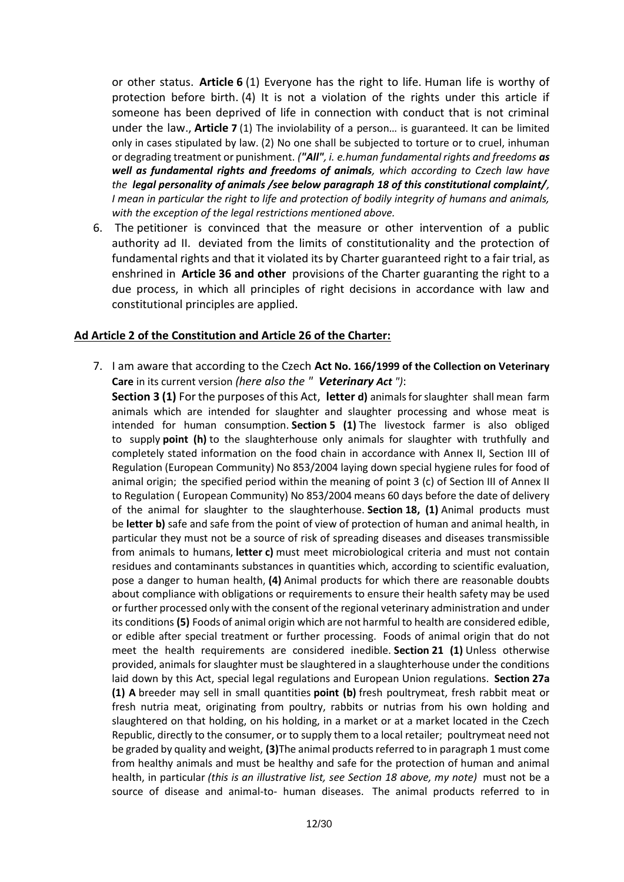or other status. **Article 6** (1) Everyone has the right to life. Human life is worthy of protection before birth. (4) It is not a violation of the rights under this article if someone has been deprived of life in connection with conduct that is not criminal under the law., **Article 7** (1) The inviolability of a person… is guaranteed. It can be limited only in cases stipulated by law. (2) No one shall be subjected to torture or to cruel, inhuman or degrading treatment or punishment. *("All", i. e.human fundamental rights and freedoms as well as fundamental rights and freedoms of animals, which according to Czech law have the legal personality of animals /see below paragraph 18 of this constitutional complaint/, I mean in particular the right to life and protection of bodily integrity of humans and animals, with the exception of the legal restrictions mentioned above.*

6. The petitioner is convinced that the measure or other intervention of a public authority ad II. deviated from the limits of constitutionality and the protection of fundamental rights and that it violated its by Charter guaranteed right to a fair trial, as enshrined in **Article 36 and other** provisions of the Charter guaranting the right to a due process, in which all principles of right decisions in accordance with law and constitutional principles are applied.

#### **Ad Article 2 of the Constitution and Article 26 of the Charter:**

7. I am aware that according to the Czech **Act No. 166/1999 of the Collection on Veterinary Care** in its current version *(here also the " Veterinary Act ")*:

**Section 3 (1)** For the purposes of this Act, **letter d)** animals for slaughter shall mean farm animals which are intended for slaughter and slaughter processing and whose meat is intended for human consumption. **Section 5 (1)** The livestock farmer is also obliged to supply **point (h)** to the slaughterhouse only animals for slaughter with truthfully and completely stated information on the food chain in accordance with Annex II, Section III of Regulation (European Community) No 853/2004 laying down special hygiene rules for food of animal origin; the specified period within the meaning of point 3 (c) of Section III of Annex II to Regulation ( European Community) No 853/2004 means 60 days before the date of delivery of the animal for slaughter to the slaughterhouse. **Section 18, (1)** Animal products must be **letter b)** safe and safe from the point of view of protection of human and animal health, in particular they must not be a source of risk of spreading diseases and diseases transmissible from animals to humans, **letter c)** must meet microbiological criteria and must not contain residues and contaminants substances in quantities which, according to scientific evaluation, pose a danger to human health, **(4)** Animal products for which there are reasonable doubts about compliance with obligations or requirements to ensure their health safety may be used or further processed only with the consent of the regional veterinary administration and under its conditions **(5)** Foods of animal origin which are not harmful to health are considered edible, or edible after special treatment or further processing. Foods of animal origin that do not meet the health requirements are considered inedible. **Section 21 (1)** Unless otherwise provided, animals for slaughter must be slaughtered in a slaughterhouse under the conditions laid down by this Act, special legal regulations and European Union regulations. **Section 27a (1) A** breeder may sell in small quantities **point (b)** fresh poultrymeat, fresh rabbit meat or fresh nutria meat, originating from poultry, rabbits or nutrias from his own holding and slaughtered on that holding, on his holding, in a market or at a market located in the Czech Republic, directly to the consumer, or to supply them to a local retailer; poultrymeat need not be graded by quality and weight, **(3)**The animal products referred to in paragraph 1 must come from healthy animals and must be healthy and safe for the protection of human and animal health, in particular *(this is an illustrative list, see Section 18 above, my note)* must not be a source of disease and animal-to- human diseases. The animal products referred to in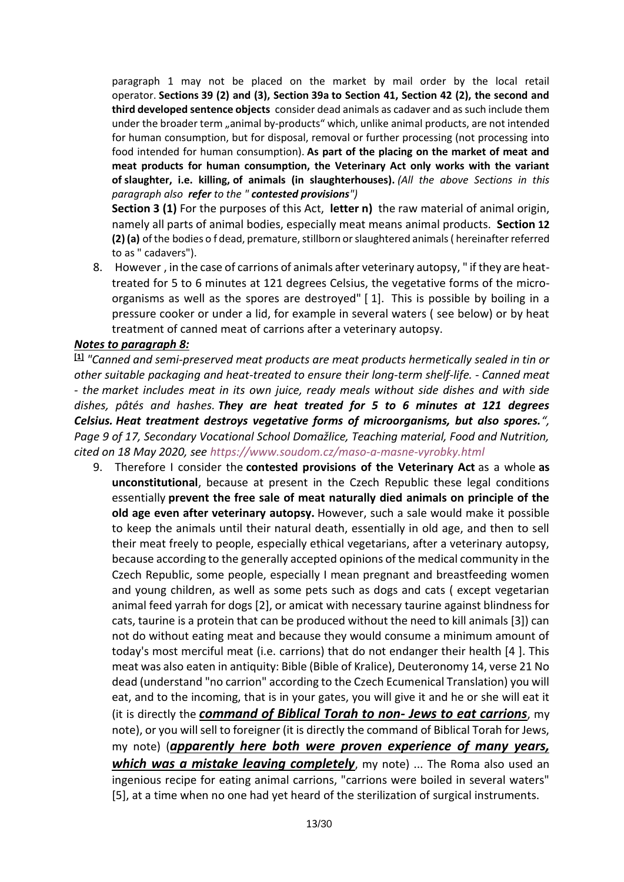paragraph 1 may not be placed on the market by mail order by the local retail operator. **Sections 39 (2) and (3), Section 39a to Section 41, Section 42 (2), the second and third developed sentence objects** consider dead animals as cadaver and as such include them under the broader term "animal by-products" which, unlike animal products, are not intended for human consumption, but for disposal, removal or further processing (not processing into food intended for human consumption). **As part of the placing on the market of meat and meat products for human consumption, the Veterinary Act only works with the variant of slaughter, i.e. killing, of animals (in slaughterhouses).** *(All the above Sections in this paragraph also refer to the " contested provisions")*

**Section 3 (1)** For the purposes of this Act, **letter n)** the raw material of animal origin, namely all parts of animal bodies, especially meat means animal products. **Section 12 (2) (a)** of the bodies o f dead, premature, stillborn or slaughtered animals ( hereinafter referred to as " cadavers").

8. However , in the case of carrions of animals after veterinary autopsy, " if they are heattreated for 5 to 6 minutes at 121 degrees Celsius, the vegetative forms of the microorganisms as well as the spores are destroyed" [ 1]. This is possible by boiling in a pressure cooker or under a lid, for example in several waters ( see below) or by heat treatment of canned meat of carrions after a veterinary autopsy.

#### *Notes to paragraph 8:*

**[1]** *"Canned and semi-preserved meat products are meat products hermetically sealed in tin or other suitable packaging and heat-treated to ensure their long-term shelf-life. - Canned meat - the market includes meat in its own juice, ready meals without side dishes and with side dishes, pâtés and hashes. They are heat treated for 5 to 6 minutes at 121 degrees Celsius. Heat treatment destroys vegetative forms of microorganisms, but also spores.", Page 9 of 17, Secondary Vocational School Domažlice, Teaching material, Food and Nutrition, cited on 18 May 2020, see <https://www.soudom.cz/maso-a-masne-vyrobky.html>*

9. Therefore I consider the **contested provisions of the Veterinary Act** as a whole **as unconstitutional**, because at present in the Czech Republic these legal conditions essentially **prevent the free sale of meat naturally died animals on principle of the old age even after veterinary autopsy.** However, such a sale would make it possible to keep the animals until their natural death, essentially in old age, and then to sell their meat freely to people, especially ethical vegetarians, after a veterinary autopsy, because according to the generally accepted opinions of the medical community in the Czech Republic, some people, especially I mean pregnant and breastfeeding women and young children, as well as some pets such as dogs and cats ( except vegetarian animal feed yarrah for dogs [2], or amicat with necessary taurine against blindness for cats, taurine is a protein that can be produced without the need to kill animals [3]) can not do without eating meat and because they would consume a minimum amount of today's most merciful meat (i.e. carrions) that do not endanger their health [4 ]. This meat was also eaten in antiquity: Bible (Bible of Kralice), Deuteronomy 14, verse 21 No dead (understand "no carrion" according to the Czech Ecumenical Translation) you will eat, and to the incoming, that is in your gates, you will give it and he or she will eat it (it is directly the *command of Biblical Torah to non- Jews to eat carrions*, my note), or you will sell to foreigner (it is directly the command of Biblical Torah for Jews, my note) (*apparently here both were proven experience of many years, which was a mistake leaving completely*, my note) ... The Roma also used an ingenious recipe for eating animal carrions, "carrions were boiled in several waters" [5], at a time when no one had yet heard of the sterilization of surgical instruments.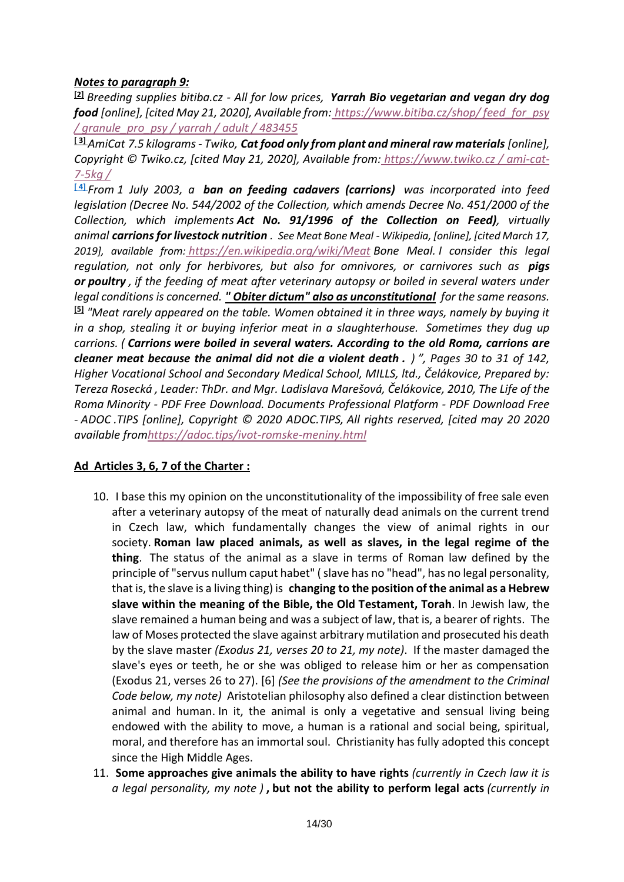## *Notes to paragraph 9:*

**[2]** *Breeding supplies bitiba.cz - All for low prices, Yarrah Bio vegetarian and vegan dry dog food [online], [cited May 21, 2020], Available from: [https://www.bitiba.cz/shop/ feed\\_for\\_psy](https://www.bitiba.cz/shop/krmivo_pro_psy/granule_pro_psy/yarrah/adult/483455)  [/ granule\\_pro\\_psy / yarrah / adult / 483455](https://www.bitiba.cz/shop/krmivo_pro_psy/granule_pro_psy/yarrah/adult/483455)*

**[ 3]** *AmiCat 7.5 kilograms - Twiko, Cat food only from plant and mineral raw materials [online], Copyright © Twiko.cz, [cited May 21, 2020], Available from: [https://www.twiko.cz / ami-cat-](https://www.twiko.cz/ami-cat-7-5kg/)[7-5kg /](https://www.twiko.cz/ami-cat-7-5kg/)*

**[ 4]** *From 1 July 2003, a ban on feeding cadavers (carrions) was incorporated into feed legislation (Decree No. 544/2002 of the Collection, which amends Decree No. 451/2000 of the Collection, which implements Act No. 91/1996 of the Collection on Feed), virtually animal carrions for livestock nutrition . See Meat Bone Meal - Wikipedia, [online], [cited March 17, 2019], available from: [https://en.wikipedia.org/wiki/Meat](https://cs.wikipedia.org/wiki/Masokostn%C3%AD_mou%C4%8Dka) Bone Meal. I consider this legal regulation, not only for herbivores, but also for omnivores, or carnivores such as pigs or poultry , if the feeding of meat after veterinary autopsy or boiled in several waters under legal conditions is concerned. " Obiter dictum" also as unconstitutional for the same reasons.* **[5]** *"Meat rarely appeared on the table. Women obtained it in three ways, namely by buying it in a shop, stealing it or buying inferior meat in a slaughterhouse. Sometimes they dug up carrions. ( Carrions were boiled in several waters. According to the old Roma, carrions are cleaner meat because the animal did not die a violent death . ) ", Pages 30 to 31 of 142, Higher Vocational School and Secondary Medical School, MILLS, ltd., Čelákovice, Prepared by: Tereza Rosecká , Leader: ThDr. and Mgr. Ladislava Marešová, Čelákovice, 2010, The Life of the Roma Minority - PDF Free Download. Documents Professional Platform - PDF Download Free - ADOC .TIPS [online], Copyright © 2020 ADOC.TIPS, All rights reserved, [cited may 20 2020 available fro[mhttps://adoc.tips/ivot-romske-meniny.html](https://adoc.tips/ivot-romske-meniny.html)*

# **Ad Articles 3, 6, 7 of the Charter :**

- 10. I base this my opinion on the unconstitutionality of the impossibility of free sale even after a veterinary autopsy of the meat of naturally dead animals on the current trend in Czech law, which fundamentally changes the view of animal rights in our society. **Roman law placed animals, as well as slaves, in the legal regime of the thing**. The status of the animal as a slave in terms of Roman law defined by the principle of "servus nullum caput habet" ( slave has no "head", has no legal personality, that is, the slave is a living thing) is **changing to the position of the animal as a Hebrew slave within the meaning of the Bible, the Old Testament, Torah**. In Jewish law, the slave remained a human being and was a subject of law, that is, a bearer of rights. The law of Moses protected the slave against arbitrary mutilation and prosecuted his death by the slave master *(Exodus 21, verses 20 to 21, my note)*. If the master damaged the slave's eyes or teeth, he or she was obliged to release him or her as compensation (Exodus 21, verses 26 to 27). [6] *(See the provisions of the amendment to the Criminal Code below, my note)* Aristotelian philosophy also defined a clear distinction between animal and human. In it, the animal is only a vegetative and sensual living being endowed with the ability to move, a human is a rational and social being, spiritual, moral, and therefore has an immortal soul. Christianity has fully adopted this concept since the High Middle Ages.
- 11. **Some approaches give animals the ability to have rights** *(currently in Czech law it is a legal personality, my note )* **, but not the ability to perform legal acts** *(currently in*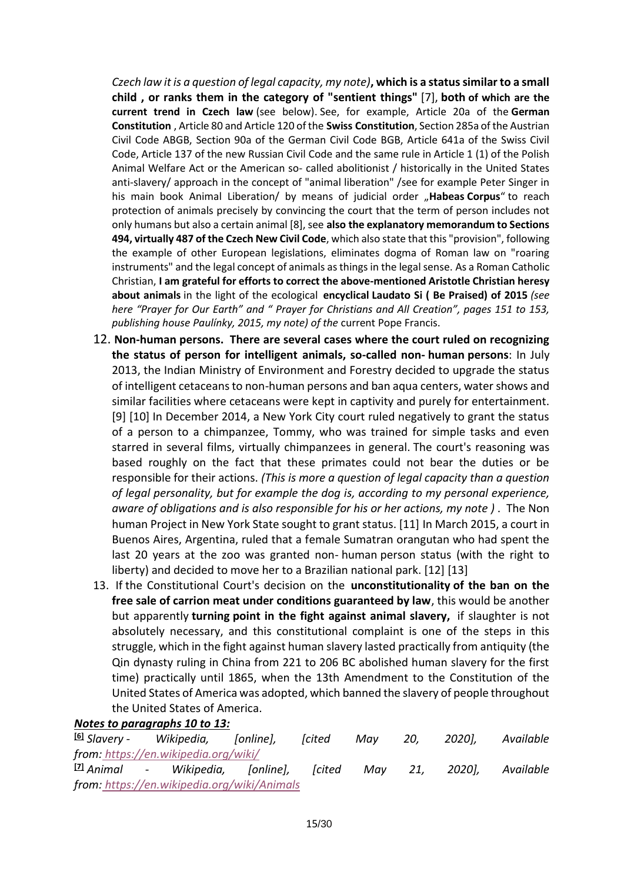*Czech law it is a question of legal capacity, my note)***, which is a status similar to a small child , or ranks them in the category of "sentient things"** [7], **both of which are the current trend in Czech law** (see below). See, for example, Article 20a of the **German Constitution** , Article 80 and Article 120 of the **Swiss Constitution**, Section 285a of the Austrian Civil Code ABGB, Section 90a of the German Civil Code BGB, Article 641a of the Swiss Civil Code, Article 137 of the new Russian Civil Code and the same rule in Article 1 (1) of the Polish Animal Welfare Act or the American so- called abolitionist / historically in the United States anti-slavery/ approach in the concept of "animal liberation" / see for example Peter Singer in his main book Animal Liberation/ by means of judicial order "**Habeas Corpus**" to reach protection of animals precisely by convincing the court that the term of person includes not only humans but also a certain animal [8], see **also the explanatory memorandum to Sections 494, virtually 487 of the Czech New Civil Code**, which also state that this "provision", following the example of other European legislations, eliminates dogma of Roman law on "roaring instruments" and the legal concept of animals as things in the legal sense. As a Roman Catholic Christian, **I am grateful for efforts to correct the above-mentioned Aristotle Christian heresy about animals** in the light of the ecological **encyclical Laudato Si ( Be Praised) of 2015** *(see here "Prayer for Our Earth" and " Prayer for Christians and All Creation", pages 151 to 153, publishing house Paulínky, 2015, my note) of the* current Pope Francis.

- 12. **Non-human persons. There are several cases where the court ruled on recognizing the status of person for intelligent animals, so-called non- human persons**: In July 2013, the Indian Ministry of Environment and Forestry decided to upgrade the status of intelligent cetaceans to non-human persons and ban aqua centers, water shows and similar facilities where cetaceans were kept in captivity and purely for entertainment. [9] [10] In December 2014, a New York City court ruled negatively to grant the status of a person to a chimpanzee, Tommy, who was trained for simple tasks and even starred in several films, virtually chimpanzees in general. The court's reasoning was based roughly on the fact that these primates could not bear the duties or be responsible for their actions. *(This is more a question of legal capacity than a question of legal personality, but for example the dog is, according to my personal experience, aware of obligations and is also responsible for his or her actions, my note )* . The Non human Project in New York State sought to grant status. [11] In March 2015, a court in Buenos Aires, Argentina, ruled that a female Sumatran orangutan who had spent the last 20 years at the zoo was granted non- human person status (with the right to liberty) and decided to move her to a Brazilian national park. [12] [13]
- 13. If the Constitutional Court's decision on the **unconstitutionality of the ban on the free sale of carrion meat under conditions guaranteed by law**, this would be another but apparently **turning point in the fight against animal slavery,** if slaughter is not absolutely necessary, and this constitutional complaint is one of the steps in this struggle, which in the fight against human slavery lasted practically from antiquity (the Qin dynasty ruling in China from 221 to 206 BC abolished human slavery for the first time) practically until 1865, when the 13th Amendment to the Constitution of the United States of America was adopted, which banned the slavery of people throughout the United States of America.

# *Notes to paragraphs 10 to 13:*

**[6]** *Slavery - Wikipedia, [online], [cited May 20, 2020], Available from: [https://en.wikipedia.org/wiki/](https://cs.wikipedia.org/wiki/Otrok%C3%A1%C5%99stv%C3%AD)* **[7]** *Animal - Wikipedia, [online], [cited May 21, 2020], Available from: [https://en.wikipedia.org/wiki/Animals](https://cs.wikipedia.org/wiki/Zv%C3%AD%C5%99e)*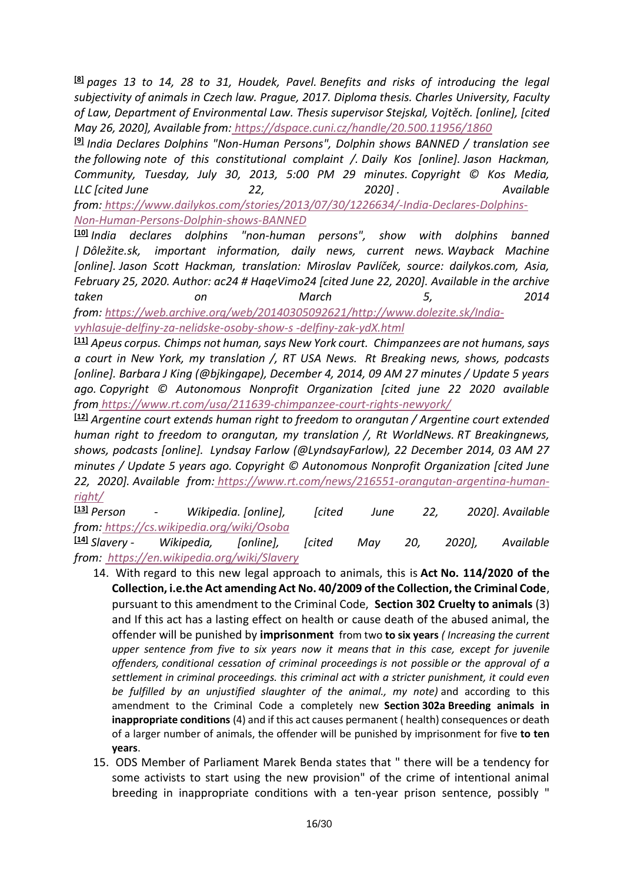**[8]** *pages 13 to 14, 28 to 31, Houdek, Pavel. Benefits and risks of introducing the legal subjectivity of animals in Czech law. Prague, 2017. Diploma thesis. Charles University, Faculty of Law, Department of Environmental Law. Thesis supervisor Stejskal, Vojtěch. [online], [cited May 26, 2020], Available from: <https://dspace.cuni.cz/handle/20.500.11956/1860>*

**[9]** *India Declares Dolphins "Non-Human Persons", Dolphin shows BANNED / translation see the following note of this constitutional complaint /. Daily Kos [online]. Jason Hackman, Community, Tuesday, July 30, 2013, 5:00 PM 29 minutes. Copyright © Kos Media, LLC [cited June 22, 2020] . Available from: [https://www.dailykos.com/stories/2013/07/30/1226634/-India-Declares-Dolphins-](https://www.dailykos.com/stories/2013/07/30/1226634/-India-Declares-Dolphins-Non-Human-Persons-Dolphin-shows-BANNED)[Non-Human-Persons-Dolphin-shows-BANNED](https://www.dailykos.com/stories/2013/07/30/1226634/-India-Declares-Dolphins-Non-Human-Persons-Dolphin-shows-BANNED)*

**[10]** *India declares dolphins "non-human persons", show with dolphins banned | Dôležite.sk, important information, daily news, current news. Wayback Machine [online]. Jason Scott Hackman, translation: Miroslav Pavlíček, source: dailykos.com, Asia, February 25, 2020. Author: ac24 # HaqeVimo24 [cited June 22, 2020]. Available in the archive taken on March 5, 2014 from: [https://web.archive.org/web/20140305092621/http://www.dolezite.sk/India-](https://web.archive.org/web/20140305092621/http:/www.dolezite.sk/Indie-vyhlasuje-delfiny-za-nelidske-osoby-show-s-delfiny-zak-ydX.html)*

*[vyhlasuje-delfiny-za-nelidske-osoby-show-s -delfiny-zak-ydX.html](https://web.archive.org/web/20140305092621/http:/www.dolezite.sk/Indie-vyhlasuje-delfiny-za-nelidske-osoby-show-s-delfiny-zak-ydX.html)*

**[11]** *Apeus corpus. Chimps not human, says New York court. Chimpanzees are not humans, says a court in New York, my translation /, RT USA News. Rt Breaking news, shows, podcasts [online]. Barbara J King (@bjkingape), December 4, 2014, 09 AM 27 minutes / Update 5 years ago. Copyright © Autonomous Nonprofit Organization [cited june 22 2020 available from <https://www.rt.com/usa/211639-chimpanzee-court-rights-newyork/>*

**[12]** *Argentine court extends human right to freedom to orangutan / Argentine court extended human right to freedom to orangutan, my translation /, Rt WorldNews. RT Breakingnews, shows, podcasts [online]. Lyndsay Farlow (@LyndsayFarlow), 22 December 2014, 03 AM 27 minutes / Update 5 years ago. Copyright © Autonomous Nonprofit Organization [cited June 22, 2020]. Available from: [https://www.rt.com/news/216551-orangutan-argentina-human-](https://www.rt.com/news/216551-orangutan-argentina-human-right/)*

*[right/](https://www.rt.com/news/216551-orangutan-argentina-human-right/)* **[13]** *Person - Wikipedia. [online], [cited June 22, 2020]. Available from: <https://cs.wikipedia.org/wiki/Osoba>* **[14]** *Slavery - Wikipedia, [online], [cited May 20, 2020], Available from: [https://en.wikipedia.org/wiki/Slavery](https://en.wikipedia.org/wiki/Slavery%0d)*

- 14. With regard to this new legal approach to animals, this is **Act No. 114/2020 of the Collection, i.e.the Act amending Act No. 40/2009 of the Collection, the Criminal Code**, pursuant to this amendment to the Criminal Code, **Section 302 Cruelty to animals** (3) and If this act has a lasting effect on health or cause death of the abused animal, the offender will be punished by **imprisonment** from two **to six years** *( Increasing the current upper sentence from five to six years now it means that in this case, except for juvenile offenders, conditional cessation of criminal proceedings is not possible or the approval of a settlement in criminal proceedings. this criminal act with a stricter punishment, it could even be fulfilled by an unjustified slaughter of the animal., my note)* and according to this amendment to the Criminal Code a completely new **Section 302a Breeding animals in inappropriate conditions** (4) and if this act causes permanent ( health) consequences or death of a larger number of animals, the offender will be punished by imprisonment for five **to ten years**.
- 15. ODS Member of Parliament Marek Benda states that " there will be a tendency for some activists to start using the new provision" of the crime of intentional animal breeding in inappropriate conditions with a ten-year prison sentence, possibly "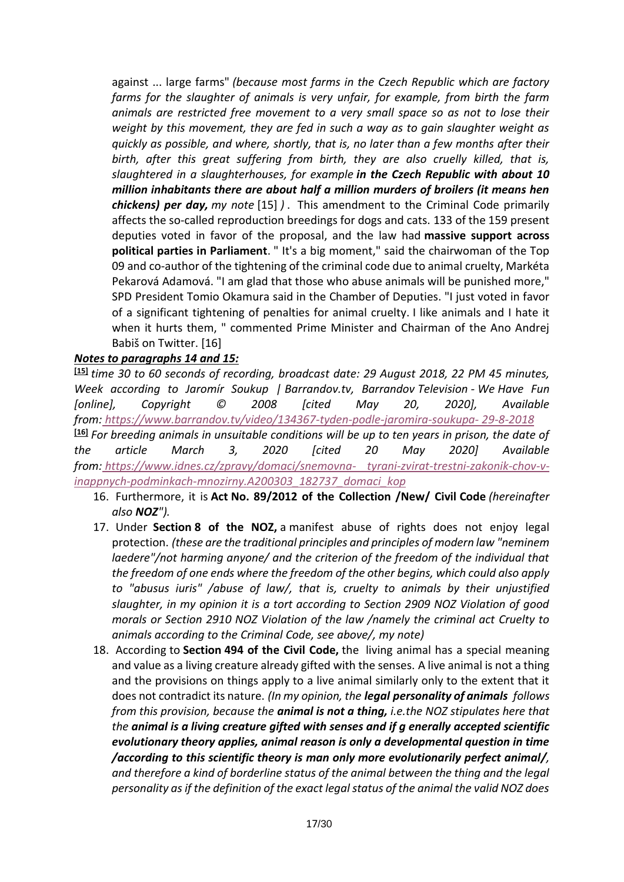against ... large farms" *(because most farms in the Czech Republic which are factory farms for the slaughter of animals is very unfair, for example, from birth the farm animals are restricted free movement to a very small space so as not to lose their weight by this movement, they are fed in such a way as to gain slaughter weight as quickly as possible, and where, shortly, that is, no later than a few months after their birth, after this great suffering from birth, they are also cruelly killed, that is, slaughtered in a slaughterhouses, for example in the Czech Republic with about 10 million inhabitants there are about half a million murders of broilers (it means hen chickens) per day, my note* [15] *)* . This amendment to the Criminal Code primarily affects the so-called reproduction breedings for dogs and cats. 133 of the 159 present deputies voted in favor of the proposal, and the law had **massive support across political parties in Parliament**. " It's a big moment," said the chairwoman of the Top 09 and co-author of the tightening of the criminal code due to animal cruelty, Markéta Pekarová Adamová. "I am glad that those who abuse animals will be punished more," SPD President Tomio Okamura said in the Chamber of Deputies. "I just voted in favor of a significant tightening of penalties for animal cruelty. I like animals and I hate it when it hurts them, " commented Prime Minister and Chairman of the Ano Andrej Babiš on Twitter. [16]

# *Notes to paragraphs 14 and 15:*

**[15]** *time 30 to 60 seconds of recording, broadcast date: 29 August 2018, 22 PM 45 minutes, Week according to Jaromír Soukup | Barrandov.tv, Barrandov Television - We Have Fun [online], Copyright © 2008 [cited May 20, 2020], Available from: [https://www.barrandov.tv/video/134367-tyden-podle-jaromira-soukupa-](https://www.barrandov.tv/video/134367-tyden-podle-jaromira-soukupa-29-8-2018) 29-8-2018* **[16]** *For breeding animals in unsuitable conditions will be up to ten years in prison, the date of the article March 3, 2020 [cited 20 May 2020] Available from: [https://www.idnes.cz/zpravy/domaci/snemovna-](https://www.idnes.cz/zpravy/domaci/snemovna-tyrani-zvirat-trestni-zakonik-chov-v-nevhodnych-podminkach-mnozirny.A200303_182737_domaci_kop) tyrani-zvirat-trestni-zakonik-chov-v[inappnych-podminkach-mnozirny.A200303\\_182737\\_domaci\\_kop](https://www.idnes.cz/zpravy/domaci/snemovna-tyrani-zvirat-trestni-zakonik-chov-v-nevhodnych-podminkach-mnozirny.A200303_182737_domaci_kop)*

- 16. Furthermore, it is **Act No. 89/2012 of the Collection /New/ Civil Code** *(hereinafter also NOZ").*
- 17. Under **Section 8 of the NOZ,** a manifest abuse of rights does not enjoy legal protection. *(these are the traditional principles and principles of modern law "neminem laedere"/not harming anyone/ and the criterion of the freedom of the individual that the freedom of one ends where the freedom of the other begins, which could also apply to "abusus iuris" /abuse of law/, that is, cruelty to animals by their unjustified slaughter, in my opinion it is a tort according to Section 2909 NOZ Violation of good morals or Section 2910 NOZ Violation of the law /namely the criminal act Cruelty to animals according to the Criminal Code, see above/, my note)*
- 18. According to **Section 494 of the Civil Code,** the living animal has a special meaning and value as a living creature already gifted with the senses. A live animal is not a thing and the provisions on things apply to a live animal similarly only to the extent that it does not contradict its nature. *(In my opinion, the legal personality of animals follows from this provision, because the animal is not a thing, i.e.the NOZ stipulates here that the animal is a living creature gifted with senses and if g enerally accepted scientific evolutionary theory applies, animal reason is only a developmental question in time /according to this scientific theory is man only more evolutionarily perfect animal/, and therefore a kind of borderline status of the animal between the thing and the legal personality as if the definition of the exact legal status of the animal the valid NOZ does*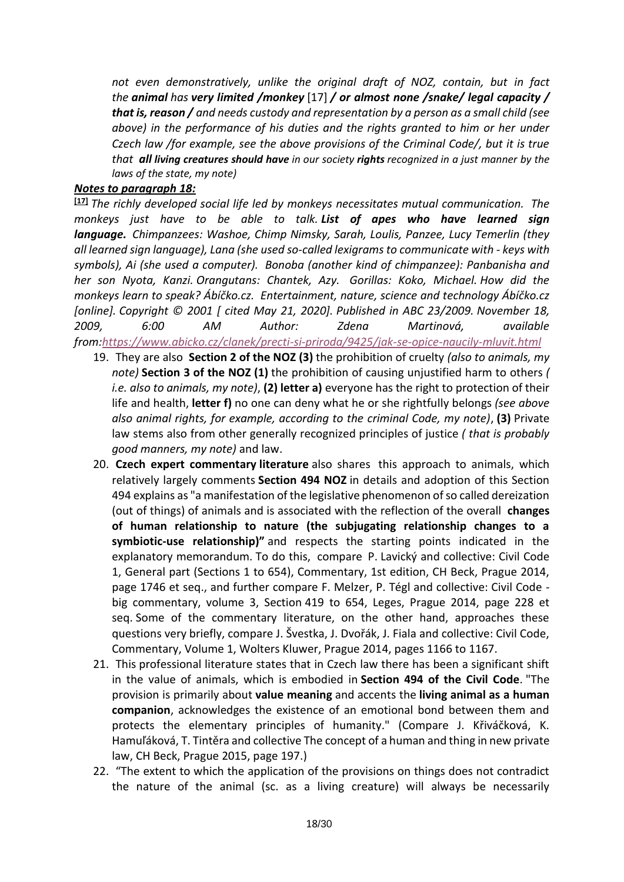*not even demonstratively, unlike the original draft of NOZ, contain, but in fact the animal has very limited /monkey* [17] */ or almost none /snake/ legal capacity / that is, reason / and needs custody and representation by a person as a small child (see above) in the performance of his duties and the rights granted to him or her under Czech law /for example, see the above provisions of the Criminal Code/, but it is true that all living creatures should have in our society rights recognized in a just manner by the laws of the state, my note)*

# *Notes to paragraph 18:*

**[17]** *The richly developed social life led by monkeys necessitates mutual communication. The monkeys just have to be able to talk. List of apes who have learned sign language. Chimpanzees: Washoe, Chimp Nimsky, Sarah, Loulis, Panzee, Lucy Temerlin (they all learned sign language), Lana (she used so-called lexigrams to communicate with - keys with symbols), Ai (she used a computer). Bonoba (another kind of chimpanzee): Panbanisha and her son Nyota, Kanzi. Orangutans: Chantek, Azy. Gorillas: Koko, Michael. How did the monkeys learn to speak? Ábíčko.cz. Entertainment, nature, science and technology Ábíčko.cz [online]. Copyright © 2001 [ cited May 21, 2020]. Published in ABC 23/2009. November 18, 2009, 6:00 AM Author: Zdena Martinová, available from[:https://www.abicko.cz/clanek/precti-si-priroda/9425/jak-se-opice-naucily-mluvit.html](https://www.abicko.cz/clanek/precti-si-priroda/9425/jak-se-opice-naucily-mluvit.html)*

- 19. They are also **Section 2 of the NOZ (3)** the prohibition of cruelty *(also to animals, my note)* **Section 3 of the NOZ (1)** the prohibition of causing unjustified harm to others *( i.e. also to animals, my note)*, **(2) letter a)** everyone has the right to protection of their life and health, **letter f)** no one can deny what he or she rightfully belongs *(see above also animal rights, for example, according to the criminal Code, my note)*, **(3)** Private law stems also from other generally recognized principles of justice *( that is probably good manners, my note)* and law.
- 20. **Czech expert commentary literature** also shares this approach to animals, which relatively largely comments **Section 494 NOZ** in details and adoption of this Section 494 explains as "a manifestation of the legislative phenomenon of so called dereization (out of things) of animals and is associated with the reflection of the overall **changes of human relationship to nature (the subjugating relationship changes to a symbiotic-use relationship)"** and respects the starting points indicated in the explanatory memorandum. To do this, compare P. Lavický and collective: Civil Code 1, General part (Sections 1 to 654), Commentary, 1st edition, CH Beck, Prague 2014, page 1746 et seq., and further compare F. Melzer, P. Tégl and collective: Civil Code big commentary, volume 3, Section 419 to 654, Leges, Prague 2014, page 228 et seq. Some of the commentary literature, on the other hand, approaches these questions very briefly, compare J. Švestka, J. Dvořák, J. Fiala and collective: Civil Code, Commentary, Volume 1, Wolters Kluwer, Prague 2014, pages 1166 to 1167.
- 21. This professional literature states that in Czech law there has been a significant shift in the value of animals, which is embodied in **Section 494 of the Civil Code**. "The provision is primarily about **value meaning** and accents the **living animal as a human companion**, acknowledges the existence of an emotional bond between them and protects the elementary principles of humanity." (Compare J. Křiváčková, K. Hamuľáková, T. Tintěra and collective The concept of a human and thing in new private law, CH Beck, Prague 2015, page 197.)
- 22. "The extent to which the application of the provisions on things does not contradict the nature of the animal (sc. as a living creature) will always be necessarily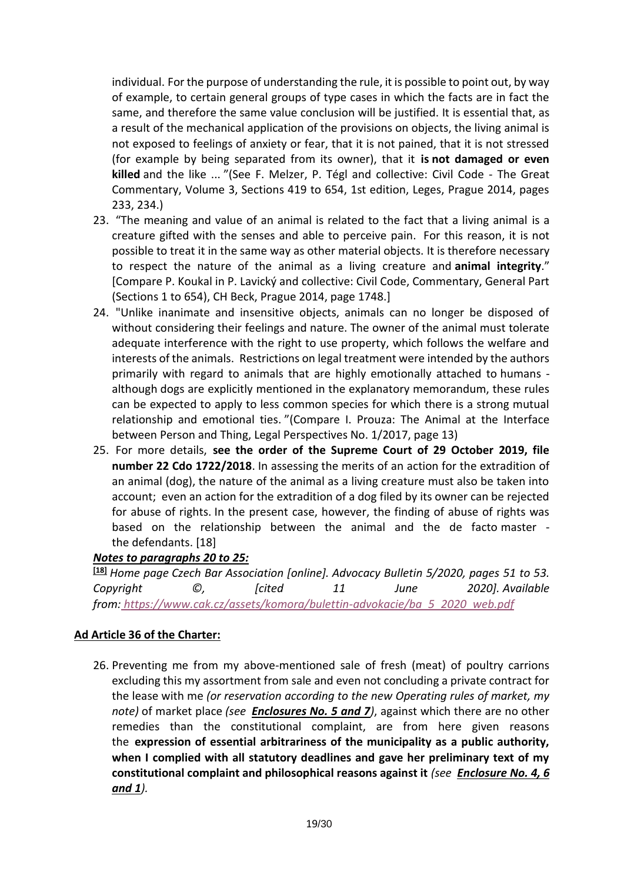individual. For the purpose of understanding the rule, it is possible to point out, by way of example, to certain general groups of type cases in which the facts are in fact the same, and therefore the same value conclusion will be justified. It is essential that, as a result of the mechanical application of the provisions on objects, the living animal is not exposed to feelings of anxiety or fear, that it is not pained, that it is not stressed (for example by being separated from its owner), that it **is not damaged or even killed** and the like ... "(See F. Melzer, P. Tégl and collective: Civil Code - The Great Commentary, Volume 3, Sections 419 to 654, 1st edition, Leges, Prague 2014, pages 233, 234.)

- 23. "The meaning and value of an animal is related to the fact that a living animal is a creature gifted with the senses and able to perceive pain. For this reason, it is not possible to treat it in the same way as other material objects. It is therefore necessary to respect the nature of the animal as a living creature and **animal integrity**." [Compare P. Koukal in P. Lavický and collective: Civil Code, Commentary, General Part (Sections 1 to 654), CH Beck, Prague 2014, page 1748.]
- 24. "Unlike inanimate and insensitive objects, animals can no longer be disposed of without considering their feelings and nature. The owner of the animal must tolerate adequate interference with the right to use property, which follows the welfare and interests of the animals. Restrictions on legal treatment were intended by the authors primarily with regard to animals that are highly emotionally attached to humans although dogs are explicitly mentioned in the explanatory memorandum, these rules can be expected to apply to less common species for which there is a strong mutual relationship and emotional ties. "(Compare I. Prouza: The Animal at the Interface between Person and Thing, Legal Perspectives No. 1/2017, page 13)
- 25. For more details, **see the order of the Supreme Court of 29 October 2019, file number 22 Cdo 1722/2018**. In assessing the merits of an action for the extradition of an animal (dog), the nature of the animal as a living creature must also be taken into account; even an action for the extradition of a dog filed by its owner can be rejected for abuse of rights. In the present case, however, the finding of abuse of rights was based on the relationship between the animal and the de facto master the defendants. [18]

# *Notes to paragraphs 20 to 25:*

**[18]** *Home page Czech Bar Association [online]. Advocacy Bulletin 5/2020, pages 51 to 53. Copyright ©, [cited 11 June 2020]. Available from: [https://www.cak.cz/assets/komora/bulettin-advokacie/ba\\_5\\_2020\\_web.pdf](https://www.cak.cz/assets/komora/bulettin-advokacie/ba_5_2020_web.pdf)*

# **Ad Article 36 of the Charter:**

26. Preventing me from my above-mentioned sale of fresh (meat) of poultry carrions excluding this my assortment from sale and even not concluding a private contract for the lease with me *(or reservation according to the new Operating rules of market, my note)* of market place *(see Enclosures No. 5 and 7)*, against which there are no other remedies than the constitutional complaint, are from here given reasons the **expression of essential arbitrariness of the municipality as a public authority, when I complied with all statutory deadlines and gave her preliminary text of my constitutional complaint and philosophical reasons against it** *(see Enclosure No. 4, 6 and 1).*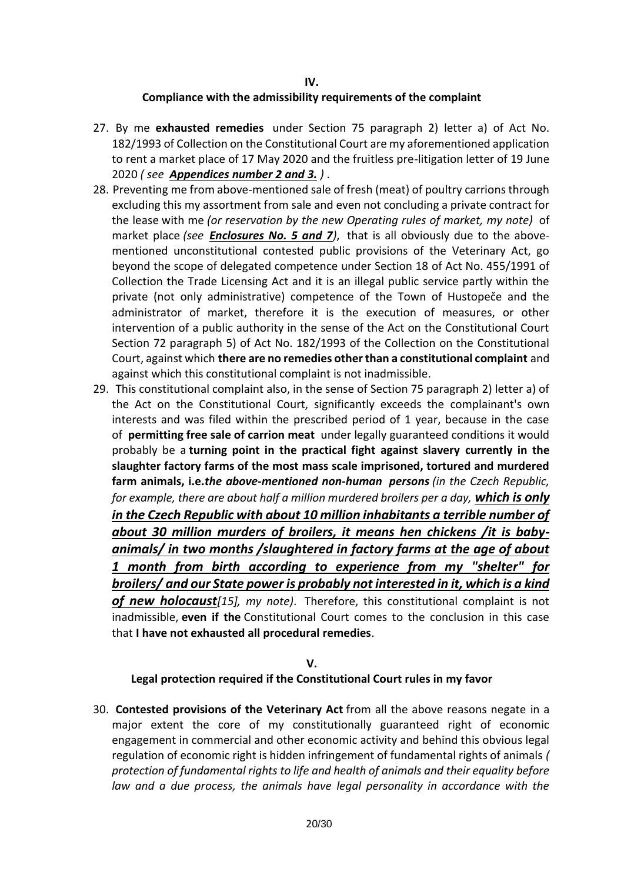#### **IV. Compliance with the admissibility requirements of the complaint**

- 27. By me **exhausted remedies** under Section 75 paragraph 2) letter a) of Act No. 182/1993 of Collection on the Constitutional Court are my aforementioned application to rent a market place of 17 May 2020 and the fruitless pre-litigation letter of 19 June 2020 *( see Appendices number 2 and 3. )* .
- 28. Preventing me from above-mentioned sale of fresh (meat) of poultry carrions through excluding this my assortment from sale and even not concluding a private contract for the lease with me *(or reservation by the new Operating rules of market, my note)* of market place *(see Enclosures No. 5 and 7)*, that is all obviously due to the abovementioned unconstitutional contested public provisions of the Veterinary Act, go beyond the scope of delegated competence under Section 18 of Act No. 455/1991 of Collection the Trade Licensing Act and it is an illegal public service partly within the private (not only administrative) competence of the Town of Hustopeče and the administrator of market, therefore it is the execution of measures, or other intervention of a public authority in the sense of the Act on the Constitutional Court Section 72 paragraph 5) of Act No. 182/1993 of the Collection on the Constitutional Court, against which **there are no remedies other than a constitutional complaint** and against which this constitutional complaint is not inadmissible.
- 29. This constitutional complaint also, in the sense of Section 75 paragraph 2) letter a) of the Act on the Constitutional Court, significantly exceeds the complainant's own interests and was filed within the prescribed period of 1 year, because in the case of **permitting free sale of carrion meat** under legally guaranteed conditions it would probably be a **turning point in the practical fight against slavery currently in the slaughter factory farms of the most mass scale imprisoned, tortured and murdered farm animals, i.e.***the above-mentioned non-human persons (in the Czech Republic, for example, there are about half a million murdered broilers per a day, which is only in the Czech Republic with about 10 million inhabitants a terrible number of about 30 million murders of broilers, it means hen chickens /it is babyanimals/ in two months /slaughtered in factory farms at the age of about 1 month from birth according to experience from my "shelter" for broilers/ and our State power is probably not interested in it, which is a kind of new holocaust[15], my note)*. Therefore, this constitutional complaint is not inadmissible, **even if the** Constitutional Court comes to the conclusion in this case that **I have not exhausted all procedural remedies**.

#### **V. Legal protection required if the Constitutional Court rules in my favor**

30. **Contested provisions of the Veterinary Act** from all the above reasons negate in a major extent the core of my constitutionally guaranteed right of economic engagement in commercial and other economic activity and behind this obvious legal regulation of economic right is hidden infringement of fundamental rights of animals *( protection of fundamental rights to life and health of animals and their equality before law and a due process, the animals have legal personality in accordance with the*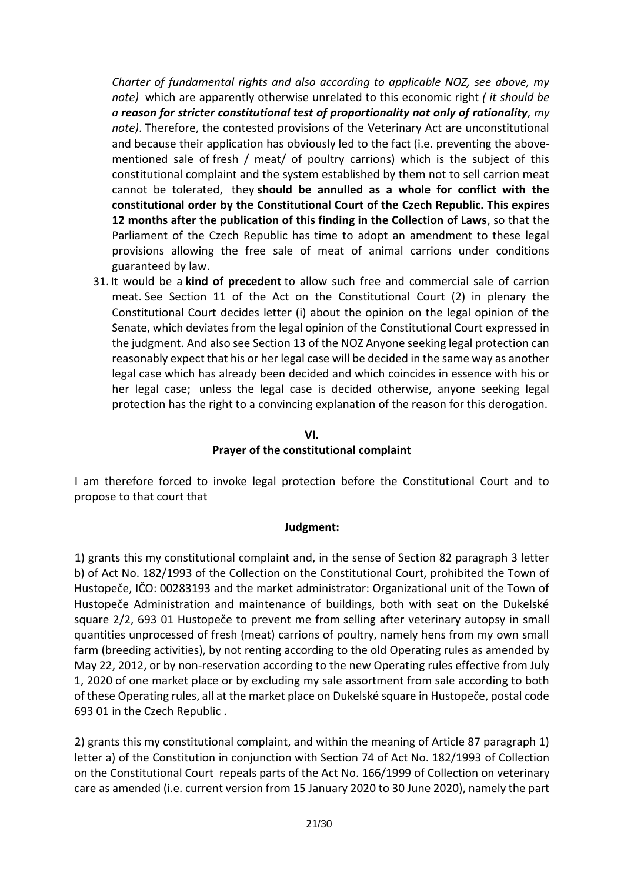*Charter of fundamental rights and also according to applicable NOZ, see above, my note)* which are apparently otherwise unrelated to this economic right *( it should be a reason for stricter constitutional test of proportionality not only of rationality, my note)*. Therefore, the contested provisions of the Veterinary Act are unconstitutional and because their application has obviously led to the fact (i.e. preventing the abovementioned sale of fresh / meat/ of poultry carrions) which is the subject of this constitutional complaint and the system established by them not to sell carrion meat cannot be tolerated, they **should be annulled as a whole for conflict with the constitutional order by the Constitutional Court of the Czech Republic. This expires 12 months after the publication of this finding in the Collection of Laws**, so that the Parliament of the Czech Republic has time to adopt an amendment to these legal provisions allowing the free sale of meat of animal carrions under conditions guaranteed by law.

31. It would be a **kind of precedent** to allow such free and commercial sale of carrion meat. See Section 11 of the Act on the Constitutional Court (2) in plenary the Constitutional Court decides letter (i) about the opinion on the legal opinion of the Senate, which deviates from the legal opinion of the Constitutional Court expressed in the judgment. And also see Section 13 of the NOZ Anyone seeking legal protection can reasonably expect that his or her legal case will be decided in the same way as another legal case which has already been decided and which coincides in essence with his or her legal case; unless the legal case is decided otherwise, anyone seeking legal protection has the right to a convincing explanation of the reason for this derogation.

## **VI.**

#### **Prayer of the constitutional complaint**

I am therefore forced to invoke legal protection before the Constitutional Court and to propose to that court that

#### **Judgment:**

1) grants this my constitutional complaint and, in the sense of Section 82 paragraph 3 letter b) of Act No. 182/1993 of the Collection on the Constitutional Court, prohibited the Town of Hustopeče, IČO: 00283193 and the market administrator: Organizational unit of the Town of Hustopeče Administration and maintenance of buildings, both with seat on the Dukelské square 2/2, 693 01 Hustopeče to prevent me from selling after veterinary autopsy in small quantities unprocessed of fresh (meat) carrions of poultry, namely hens from my own small farm (breeding activities), by not renting according to the old Operating rules as amended by May 22, 2012, or by non-reservation according to the new Operating rules effective from July 1, 2020 of one market place or by excluding my sale assortment from sale according to both of these Operating rules, all at the market place on Dukelské square in Hustopeče, postal code 693 01 in the Czech Republic .

2) grants this my constitutional complaint, and within the meaning of Article 87 paragraph 1) letter a) of the Constitution in conjunction with Section 74 of Act No. 182/1993 of Collection on the Constitutional Court repeals parts of the Act No. 166/1999 of Collection on veterinary care as amended (i.e. current version from 15 January 2020 to 30 June 2020), namely the part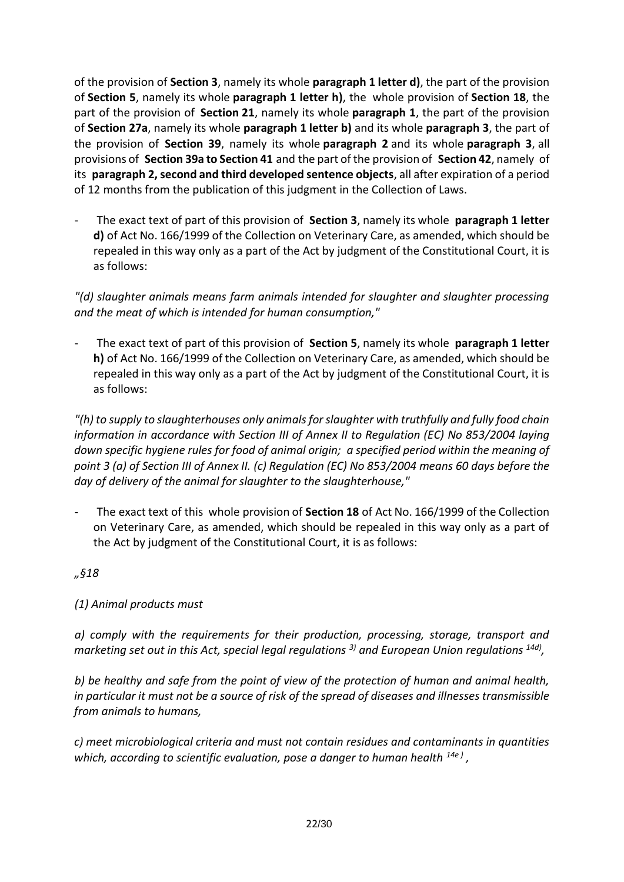of the provision of **Section 3**, namely its whole **paragraph 1 letter d)**, the part of the provision of **Section 5**, namely its whole **paragraph 1 letter h)**, the whole provision of **Section 18**, the part of the provision of **Section 21**, namely its whole **paragraph 1**, the part of the provision of **Section 27a**, namely its whole **paragraph 1 letter b)** and its whole **paragraph 3**, the part of the provision of **Section 39**, namely its whole **paragraph 2** and its whole **paragraph 3**, all provisions of **Section 39a to Section 41** and the part of the provision of **Section 42**, namely of its **paragraph 2, second and third developed sentence objects**, all after expiration of a period of 12 months from the publication of this judgment in the Collection of Laws.

- The exact text of part of this provision of **Section 3**, namely its whole **paragraph 1 letter d)** of Act No. 166/1999 of the Collection on Veterinary Care, as amended, which should be repealed in this way only as a part of the Act by judgment of the Constitutional Court, it is as follows:

*"(d) slaughter animals means farm animals intended for slaughter and slaughter processing and the meat of which is intended for human consumption,"*

- The exact text of part of this provision of **Section 5**, namely its whole **paragraph 1 letter h)** of Act No. 166/1999 of the Collection on Veterinary Care, as amended, which should be repealed in this way only as a part of the Act by judgment of the Constitutional Court, it is as follows:

*"(h) to supply to slaughterhouses only animals for slaughter with truthfully and fully food chain information in accordance with Section III of Annex II to Regulation (EC) No 853/2004 laying down specific hygiene rules for food of animal origin; a specified period within the meaning of point 3 (a) of Section III of Annex II. (c) Regulation (EC) No 853/2004 means 60 days before the day of delivery of the animal for slaughter to the slaughterhouse,"*

- The exact text of this whole provision of **Section 18** of Act No. 166/1999 of the Collection on Veterinary Care, as amended, which should be repealed in this way only as a part of the Act by judgment of the Constitutional Court, it is as follows:

*"§18*

# *(1) Animal products must*

*a) comply with the requirements for their production, processing, storage, transport and marketing set out in this Act, special legal regulations 3) and European Union regulations 14d) ,*

*b) be healthy and safe from the point of view of the protection of human and animal health, in particular it must not be a source of risk of the spread of diseases and illnesses transmissible from animals to humans,*

*c) meet microbiological criteria and must not contain residues and contaminants in quantities which, according to scientific evaluation, pose a danger to human health 14e ) ,*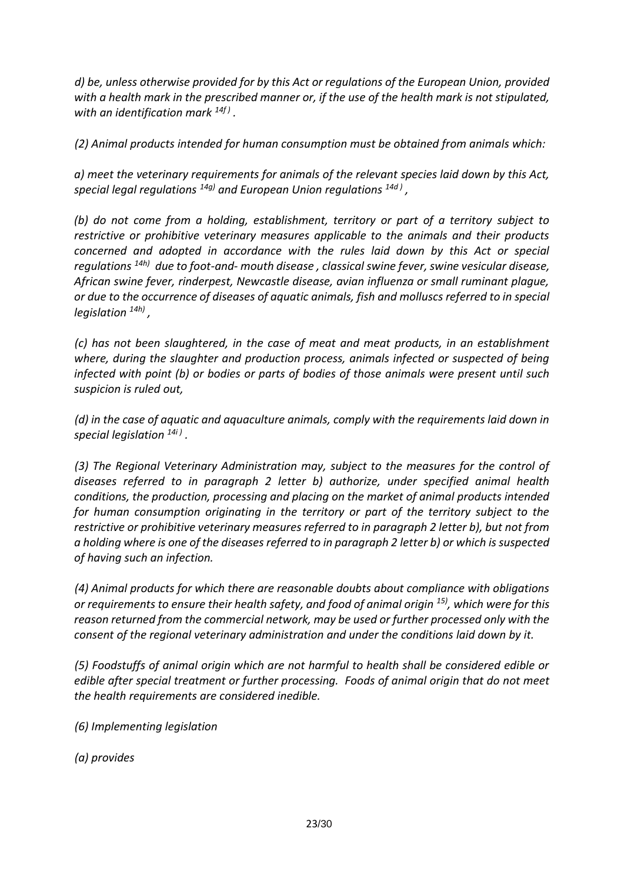*d) be, unless otherwise provided for by this Act or regulations of the European Union, provided with a health mark in the prescribed manner or, if the use of the health mark is not stipulated, with an identification mark 14f ) .*

*(2) Animal products intended for human consumption must be obtained from animals which:*

*a) meet the veterinary requirements for animals of the relevant species laid down by this Act, special legal regulations 14g) and European Union regulations 14d ) ,*

*(b) do not come from a holding, establishment, territory or part of a territory subject to restrictive or prohibitive veterinary measures applicable to the animals and their products concerned and adopted in accordance with the rules laid down by this Act or special regulations 14h) due to foot-and- mouth disease , classical swine fever, swine vesicular disease, African swine fever, rinderpest, Newcastle disease, avian influenza or small ruminant plague, or due to the occurrence of diseases of aquatic animals, fish and molluscs referred to in special legislation 14h) ,*

*(c) has not been slaughtered, in the case of meat and meat products, in an establishment where, during the slaughter and production process, animals infected or suspected of being infected with point (b) or bodies or parts of bodies of those animals were present until such suspicion is ruled out,*

*(d) in the case of aquatic and aquaculture animals, comply with the requirements laid down in special legislation 14i ) .*

*(3) The Regional Veterinary Administration may, subject to the measures for the control of diseases referred to in paragraph 2 letter b) authorize, under specified animal health conditions, the production, processing and placing on the market of animal products intended for human consumption originating in the territory or part of the territory subject to the restrictive or prohibitive veterinary measures referred to in paragraph 2 letter b), but not from a holding where is one of the diseases referred to in paragraph 2 letter b) or which is suspected of having such an infection.*

*(4) Animal products for which there are reasonable doubts about compliance with obligations or requirements to ensure their health safety, and food of animal origin 15), which were for this reason returned from the commercial network, may be used or further processed only with the consent of the regional veterinary administration and under the conditions laid down by it.*

*(5) Foodstuffs of animal origin which are not harmful to health shall be considered edible or edible after special treatment or further processing. Foods of animal origin that do not meet the health requirements are considered inedible.*

*(6) Implementing legislation*

*(a) provides*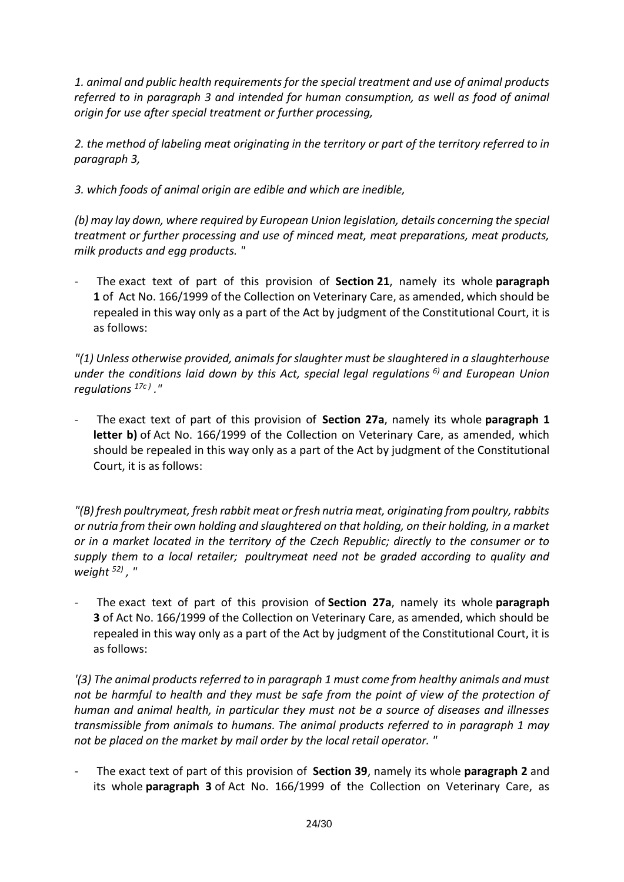*1. animal and public health requirements for the special treatment and use of animal products referred to in paragraph 3 and intended for human consumption, as well as food of animal origin for use after special treatment or further processing,*

*2. the method of labeling meat originating in the territory or part of the territory referred to in paragraph 3,*

*3. which foods of animal origin are edible and which are inedible,*

*(b) may lay down, where required by European Union legislation, details concerning the special treatment or further processing and use of minced meat, meat preparations, meat products, milk products and egg products. "*

- The exact text of part of this provision of **Section 21**, namely its whole **paragraph 1** of Act No. 166/1999 of the Collection on Veterinary Care, as amended, which should be repealed in this way only as a part of the Act by judgment of the Constitutional Court, it is as follows:

*"(1) Unless otherwise provided, animals for slaughter must be slaughtered in a slaughterhouse under the conditions laid down by this Act, special legal regulations 6) and European Union regulations 17c ) ."*

- The exact text of part of this provision of **Section 27a**, namely its whole **paragraph 1 letter b)** of Act No. 166/1999 of the Collection on Veterinary Care, as amended, which should be repealed in this way only as a part of the Act by judgment of the Constitutional Court, it is as follows:

*"(B) fresh poultrymeat, fresh rabbit meat or fresh nutria meat, originating from poultry, rabbits or nutria from their own holding and slaughtered on that holding, on their holding, in a market or in a market located in the territory of the Czech Republic; directly to the consumer or to supply them to a local retailer; poultrymeat need not be graded according to quality and weight 52) , "*

- The exact text of part of this provision of **Section 27a**, namely its whole **paragraph 3** of Act No. 166/1999 of the Collection on Veterinary Care, as amended, which should be repealed in this way only as a part of the Act by judgment of the Constitutional Court, it is as follows:

*'(3) The animal products referred to in paragraph 1 must come from healthy animals and must*  not be harmful to health and they must be safe from the point of view of the protection of *human and animal health, in particular they must not be a source of diseases and illnesses transmissible from animals to humans. The animal products referred to in paragraph 1 may not be placed on the market by mail order by the local retail operator. "*

- The exact text of part of this provision of **Section 39**, namely its whole **paragraph 2** and its whole **paragraph 3** of Act No. 166/1999 of the Collection on Veterinary Care, as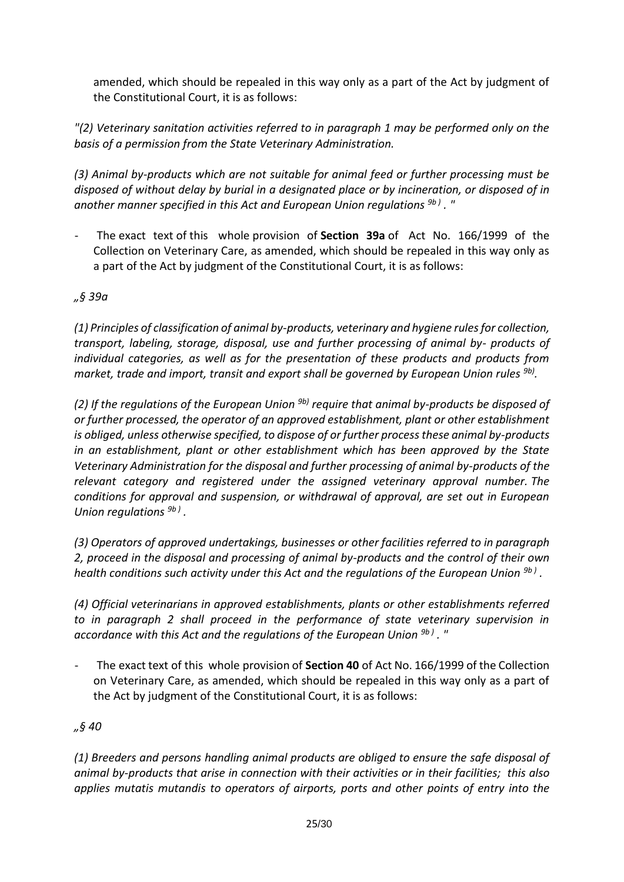amended, which should be repealed in this way only as a part of the Act by judgment of the Constitutional Court, it is as follows:

*"(2) Veterinary sanitation activities referred to in paragraph 1 may be performed only on the basis of a permission from the State Veterinary Administration.*

*(3) Animal by-products which are not suitable for animal feed or further processing must be disposed of without delay by burial in a designated place or by incineration, or disposed of in another manner specified in this Act and European Union regulations 9b ) . "*

The exact text of this whole provision of **Section 39a** of Act No. 166/1999 of the Collection on Veterinary Care, as amended, which should be repealed in this way only as a part of the Act by judgment of the Constitutional Court, it is as follows:

# *"§ 39a*

*(1) Principles of classification of animal by-products, veterinary and hygiene rules for collection, transport, labeling, storage, disposal, use and further processing of animal by- products of individual categories, as well as for the presentation of these products and products from*  market, trade and import, transit and export shall be governed by European Union rules <sup>9b)</sup>.

*(2) If the regulations of the European Union 9b) require that animal by-products be disposed of or further processed, the operator of an approved establishment, plant or other establishment is obliged, unless otherwise specified, to dispose of or further process these animal by-products in an establishment, plant or other establishment which has been approved by the State Veterinary Administration for the disposal and further processing of animal by-products of the relevant category and registered under the assigned veterinary approval number. The conditions for approval and suspension, or withdrawal of approval, are set out in European Union regulations 9b ) .*

*(3) Operators of approved undertakings, businesses or other facilities referred to in paragraph 2, proceed in the disposal and processing of animal by-products and the control of their own health conditions such activity under this Act and the regulations of the European Union 9b ) .*

*(4) Official veterinarians in approved establishments, plants or other establishments referred to in paragraph 2 shall proceed in the performance of state veterinary supervision in accordance with this Act and the regulations of the European Union 9b ) . "*

- The exact text of this whole provision of **Section 40** of Act No. 166/1999 of the Collection on Veterinary Care, as amended, which should be repealed in this way only as a part of the Act by judgment of the Constitutional Court, it is as follows:

# *"§ 40*

*(1) Breeders and persons handling animal products are obliged to ensure the safe disposal of animal by-products that arise in connection with their activities or in their facilities; this also applies mutatis mutandis to operators of airports, ports and other points of entry into the*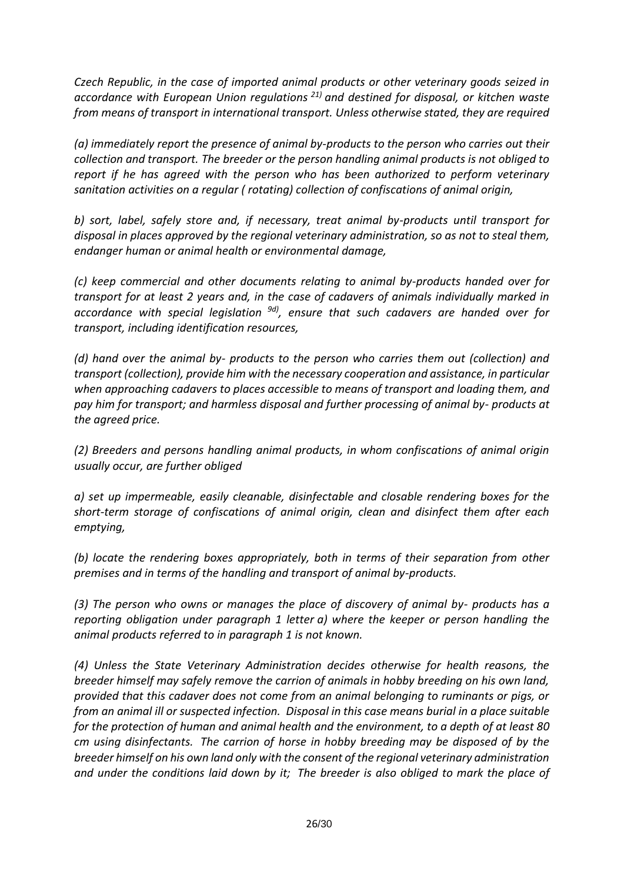*Czech Republic, in the case of imported animal products or other veterinary goods seized in accordance with European Union regulations 21) and destined for disposal, or kitchen waste from means of transport in international transport. Unless otherwise stated, they are required*

*(a) immediately report the presence of animal by-products to the person who carries out their collection and transport. The breeder or the person handling animal products is not obliged to report if he has agreed with the person who has been authorized to perform veterinary sanitation activities on a regular ( rotating) collection of confiscations of animal origin,*

*b) sort, label, safely store and, if necessary, treat animal by-products until transport for disposal in places approved by the regional veterinary administration, so as not to steal them, endanger human or animal health or environmental damage,*

*(c) keep commercial and other documents relating to animal by-products handed over for transport for at least 2 years and, in the case of cadavers of animals individually marked in accordance with special legislation 9d), ensure that such cadavers are handed over for transport, including identification resources,*

*(d) hand over the animal by- products to the person who carries them out (collection) and transport (collection), provide him with the necessary cooperation and assistance, in particular when approaching cadavers to places accessible to means of transport and loading them, and pay him for transport; and harmless disposal and further processing of animal by- products at the agreed price.*

*(2) Breeders and persons handling animal products, in whom confiscations of animal origin usually occur, are further obliged*

*a) set up impermeable, easily cleanable, disinfectable and closable rendering boxes for the short-term storage of confiscations of animal origin, clean and disinfect them after each emptying,*

*(b) locate the rendering boxes appropriately, both in terms of their separation from other premises and in terms of the handling and transport of animal by-products.*

*(3) The person who owns or manages the place of discovery of animal by- products has a reporting obligation under paragraph 1 letter a) where the keeper or person handling the animal products referred to in paragraph 1 is not known.*

*(4) Unless the State Veterinary Administration decides otherwise for health reasons, the breeder himself may safely remove the carrion of animals in hobby breeding on his own land, provided that this cadaver does not come from an animal belonging to ruminants or pigs, or from an animal ill or suspected infection. Disposal in this case means burial in a place suitable for the protection of human and animal health and the environment, to a depth of at least 80 cm using disinfectants. The carrion of horse in hobby breeding may be disposed of by the breeder himself on his own land only with the consent of the regional veterinary administration and under the conditions laid down by it; The breeder is also obliged to mark the place of*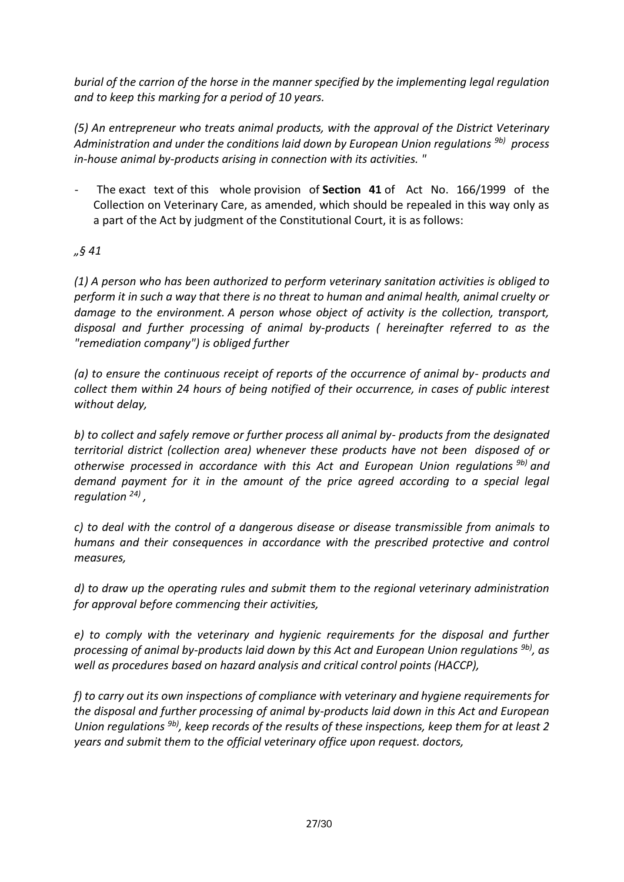*burial of the carrion of the horse in the manner specified by the implementing legal regulation and to keep this marking for a period of 10 years.*

*(5) An entrepreneur who treats animal products, with the approval of the District Veterinary Administration and under the conditions laid down by European Union regulations 9b) process in-house animal by-products arising in connection with its activities. "*

- The exact text of this whole provision of **Section 41** of Act No. 166/1999 of the Collection on Veterinary Care, as amended, which should be repealed in this way only as a part of the Act by judgment of the Constitutional Court, it is as follows:

# *"§ 41*

*(1) A person who has been authorized to perform veterinary sanitation activities is obliged to perform it in such a way that there is no threat to human and animal health, animal cruelty or damage to the environment. A person whose object of activity is the collection, transport, disposal and further processing of animal by-products ( hereinafter referred to as the "remediation company") is obliged further*

*(a) to ensure the continuous receipt of reports of the occurrence of animal by- products and collect them within 24 hours of being notified of their occurrence, in cases of public interest without delay,*

*b) to collect and safely remove or further process all animal by- products from the designated territorial district (collection area) whenever these products have not been disposed of or otherwise processed in accordance with this Act and European Union regulations 9b) and demand payment for it in the amount of the price agreed according to a special legal regulation 24) ,*

*c) to deal with the control of a dangerous disease or disease transmissible from animals to humans and their consequences in accordance with the prescribed protective and control measures,*

*d) to draw up the operating rules and submit them to the regional veterinary administration for approval before commencing their activities,*

*e) to comply with the veterinary and hygienic requirements for the disposal and further processing of animal by-products laid down by this Act and European Union regulations 9b), as well as procedures based on hazard analysis and critical control points (HACCP),*

*f) to carry out its own inspections of compliance with veterinary and hygiene requirements for the disposal and further processing of animal by-products laid down in this Act and European Union regulations 9b), keep records of the results of these inspections, keep them for at least 2 years and submit them to the official veterinary office upon request. doctors,*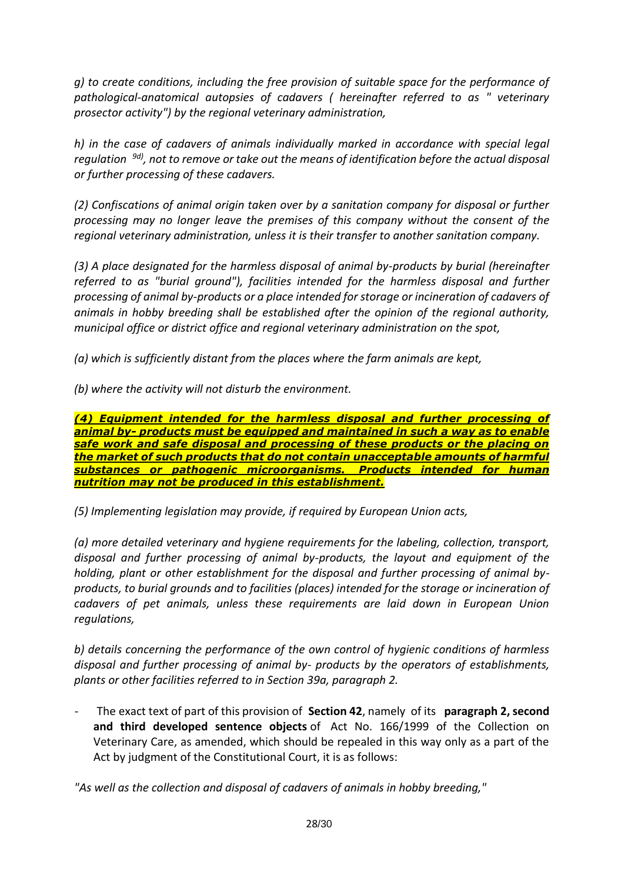*g) to create conditions, including the free provision of suitable space for the performance of pathological-anatomical autopsies of cadavers ( hereinafter referred to as " veterinary prosector activity") by the regional veterinary administration,*

*h) in the case of cadavers of animals individually marked in accordance with special legal regulation 9d), not to remove or take out the means of identification before the actual disposal or further processing of these cadavers.*

*(2) Confiscations of animal origin taken over by a sanitation company for disposal or further processing may no longer leave the premises of this company without the consent of the regional veterinary administration, unless it is their transfer to another sanitation company.*

*(3) A place designated for the harmless disposal of animal by-products by burial (hereinafter referred to as "burial ground"), facilities intended for the harmless disposal and further processing of animal by-products or a place intended for storage or incineration of cadavers of animals in hobby breeding shall be established after the opinion of the regional authority, municipal office or district office and regional veterinary administration on the spot,*

*(a) which is sufficiently distant from the places where the farm animals are kept,*

*(b) where the activity will not disturb the environment.*

*(4) Equipment intended for the harmless disposal and further processing of animal by- products must be equipped and maintained in such a way as to enable safe work and safe disposal and processing of these products or the placing on the market of such products that do not contain unacceptable amounts of harmful substances or pathogenic microorganisms. Products intended for human nutrition may not be produced in this establishment.*

*(5) Implementing legislation may provide, if required by European Union acts,*

*(a) more detailed veterinary and hygiene requirements for the labeling, collection, transport, disposal and further processing of animal by-products, the layout and equipment of the holding, plant or other establishment for the disposal and further processing of animal byproducts, to burial grounds and to facilities (places) intended for the storage or incineration of cadavers of pet animals, unless these requirements are laid down in European Union regulations,*

*b) details concerning the performance of the own control of hygienic conditions of harmless disposal and further processing of animal by- products by the operators of establishments, plants or other facilities referred to in Section 39a, paragraph 2.*

- The exact text of part of this provision of **Section 42**, namely of its **paragraph 2, second and third developed sentence objects** of Act No. 166/1999 of the Collection on Veterinary Care, as amended, which should be repealed in this way only as a part of the Act by judgment of the Constitutional Court, it is as follows:

*"As well as the collection and disposal of cadavers of animals in hobby breeding,"*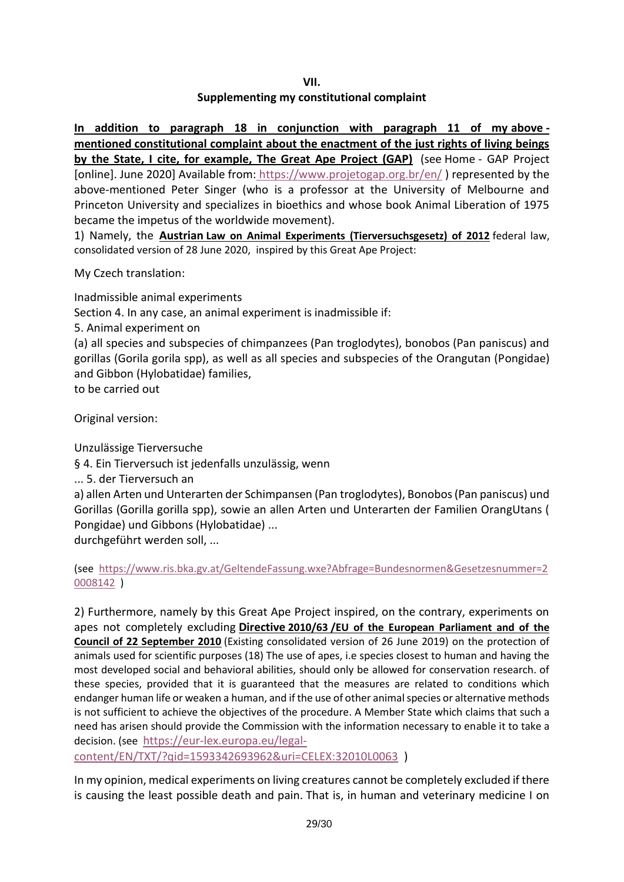**VII.**

# **Supplementing my constitutional complaint**

**In addition to paragraph 18 in conjunction with paragraph 11 of my above mentioned constitutional complaint about the enactment of the just rights of living beings by the State, I cite, for example, The Great Ape Project (GAP)** (see Home - GAP Project [online]. June 2020] Available from: <https://www.projetogap.org.br/en/> ) represented by the above-mentioned Peter Singer (who is a professor at the University of Melbourne and Princeton University and specializes in bioethics and whose book Animal Liberation of 1975 became the impetus of the worldwide movement).

1) Namely, the **Austrian Law on Animal Experiments (Tierversuchsgesetz) of 2012** federal law, consolidated version of 28 June 2020, inspired by this Great Ape Project:

My Czech translation:

Inadmissible animal experiments

Section 4. In any case, an animal experiment is inadmissible if:

5. Animal experiment on

(a) all species and subspecies of chimpanzees (Pan troglodytes), bonobos (Pan paniscus) and gorillas (Gorila gorila spp), as well as all species and subspecies of the Orangutan (Pongidae) and Gibbon (Hylobatidae) families,

to be carried out

Original version:

Unzulässige Tierversuche

§ 4. Ein Tierversuch ist jedenfalls unzulässig, wenn

... 5. der Tierversuch an

a) allen Arten und Unterarten der Schimpansen (Pan troglodytes), Bonobos (Pan paniscus) und Gorillas (Gorilla gorilla spp), sowie an allen Arten und Unterarten der Familien OrangUtans ( Pongidae) und Gibbons (Hylobatidae) ...

durchgeführt werden soll, ...

(see [https://www.ris.bka.gv.at/GeltendeFassung.wxe?Abfrage=Bundesnormen&Gesetzesnummer=2](https://www.ris.bka.gv.at/GeltendeFassung.wxe?Abfrage=Bundesnormen&Gesetzesnummer=20008142) [0008142](https://www.ris.bka.gv.at/GeltendeFassung.wxe?Abfrage=Bundesnormen&Gesetzesnummer=20008142) )

2) Furthermore, namely by this Great Ape Project inspired, on the contrary, experiments on apes not completely excluding **Directive 2010/63 /EU of the European Parliament and of the Council of 22 September 2010** (Existing consolidated version of 26 June 2019) on the protection of animals used for scientific purposes (18) The use of apes, i.e species closest to human and having the most developed social and behavioral abilities, should only be allowed for conservation research. of these species, provided that it is guaranteed that the measures are related to conditions which endanger human life or weaken a human, and if the use of other animal species or alternative methods is not sufficient to achieve the objectives of the procedure. A Member State which claims that such a need has arisen should provide the Commission with the information necessary to enable it to take a decision. (see [https://eur-lex.europa.eu/legal-](https://eur-lex.europa.eu/legal-content/CS/TXT/?qid=1593342693962&uri=CELEX:32010L0063)

[content/EN/TXT/?qid=1593342693962&uri=CELEX:32010L0063](https://eur-lex.europa.eu/legal-content/CS/TXT/?qid=1593342693962&uri=CELEX:32010L0063) )

In my opinion, medical experiments on living creatures cannot be completely excluded if there is causing the least possible death and pain. That is, in human and veterinary medicine I on